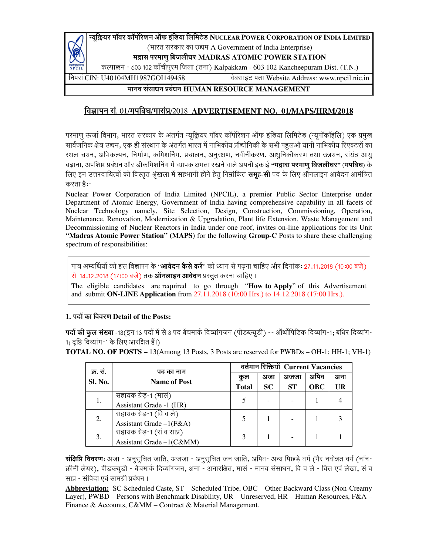|                                                                                   |                                                                                                             | न्यूक्लियर पॉवर कॉर्पोरेशन ऑफ इंडिया लिमिटेड NUCLEAR POWER CORPORATION OF INDIA LIMITED |  |
|-----------------------------------------------------------------------------------|-------------------------------------------------------------------------------------------------------------|-----------------------------------------------------------------------------------------|--|
|                                                                                   | (भारत सरकार का उद्यम A Government of India Enterprise)<br>मद्रास परमाणु बिजलीघर MADRAS ATOMIC POWER STATION |                                                                                         |  |
|                                                                                   |                                                                                                             |                                                                                         |  |
| एनपीसीआईए<br>NPCIL                                                                |                                                                                                             | कल्पाक्कम - 603 102 काँचीपुरम जिला (तना) Kalpakkam - 603 102 Kancheepuram Dist. (T.N.)  |  |
| निपसं CIN: U40104MH1987GOI149458<br>वेबसाइट पता Website Address: www.npcil.nic.in |                                                                                                             |                                                                                         |  |
| मानव संसाधन प्रबंधन HUMAN RESOURCE MANAGEMENT                                     |                                                                                                             |                                                                                         |  |

## <u>विज्ञापन सं. 01/मपबिघ/मासंप्र/2018 ADVERTISEMENT NO. 01/MAPS/HRM/2018</u>

परमाणु ऊर्जा विभाग, भारत सरकार के अंतर्गत न्यूक्लियर पॉवर कॉर्पोरेशन ऑफ इंडिया लिमिटेड (न्यूपॉकॉइंलि) एक प्रमुख सावजनिक क्षेत्र उद्यम, एक ही संस्थान के अंतर्गत भारत में नाभिकीय प्रौद्योगिकी के सभी पहुलओ यानी नाभिकीय रिएक्टरी का स्थल चयन, अभिकल्पन, निर्माण, कमिशनिंग, प्रचालन, अनुरक्षण, नवीनीकरण, आधुनिकीकरण तथा उन्नयन, संयंत्र आयु बढ़ाना, अपशिष्ट प्रबंधन और डीकमिशनिंग में व्यापक क्षमता रखने वाले अपनी इकाई **''मद्रास परमाणू बिजलीघर'' (मपबिघ**) के लिए इन उत्तरदायित्वों की विस्तृत श्रृंखला में सहभागी होने हेतू निम्नांकित **समुह-सी** पद के लिए ऑनलाइन आवेदन आमंत्रित करता है:-

Nuclear Power Corporation of India Limited (NPCIL), a premier Public Sector Enterprise under Department of Atomic Energy, Government of India having comprehensive capability in all facets of Nuclear Technology namely, Site Selection, Design, Construction, Commissioning, Operation, Maintenance, Renovation, Modernization & Upgradation, Plant life Extension, Waste Management and Decommissioning of Nuclear Reactors in India under one roof, invites on-line applications for its Unit **"Madras Atomic Power Station" (MAPS)** for the following **Group-C** Posts to share these challenging spectrum of responsibilities:

पात्र अभ्यर्थियों को इस विज्ञापन के "**आवेदन कैसे करे**" को ध्यान से पढ़ना चाहिए और दिनाकः 27.11.2018 (10:00 बर्ज) से 14**.**12.2018 (17**:**00 बर्ज) तक **आनलाइन आवेदन** प्रस्तुत करना चाहिए ।

The eligible candidates are required to go through "**How to Apply**" of this Advertisement and submit **ON-LINE Application** from 27.11.2018 (10:00 Hrs.) to 14.12.2018 (17:00 Hrs.).

#### <u>1. पदो का विवरण Detail of the Posts:</u>

पदों की कुल संख्या -13(इन 13 पदों में से 3 पद बेंचमार्क दिव्यांगजन (पीडब्ल्युडी) -- ऑर्थोपिडिक दिव्यांग-1; बधिर दिव्यांग-1; दृष्टि दिव्यांग-1 के लिए आरक्षित हैं।)

क्र. सं. **Sl. No.** पद का नाम **Name of Post**  वर्तमान रिक्तियाँ **Current Vacancies** कुल **Total**  अजा **SC**  अजजा **ST**  अपिव **OBC**  अना **UR**   $\frac{1}{1}$  सहायक ग्रेड़-1 (मासं) Assistant Grade -1 (HR)  $5$  -  $1$  - 1 4  $\overline{a_2}$  सिंहायक ग्रेड़-1 (वि व ले) Assistant Grade –1(F&A)  $5 \mid 1 \mid - \mid 1 \mid 3$ 3. सिंहायक ग्रेड़-1 (सं व साप्र) Assistant Grade –1(C&MM) 3 | 1 | - | 1 | 1

**TOTAL NO. OF POSTS –** 13(Among 13 Posts, 3 Posts are reserved for PWBDs – OH-1; HH-1; VH-1)

<u>सक्षिप्तिं विवरण</u>ः अजा - अनुसूचित जाति, अजजा - अनुसूचित जन जाति, आपव- अन्य पिछड़ वर्ग (गेर नवान्नत वर्ग (नान-क्रीमी लेयर), पीडब्ल्युडी - बेंचमार्क दिव्यांगजन, अना - अनारक्षित, मासं - मानव संसाधन, वि व ले - वित्त एवं लेखा, सं व साप्र - संविदा एवं सामग्री प्रबंधन ।

**Abbreviation:** SC-Scheduled Caste, ST – Scheduled Tribe, OBC – Other Backward Class (Non-Creamy Layer), PWBD – Persons with Benchmark Disability, UR – Unreserved, HR – Human Resources, F&A – Finance & Accounts, C&MM – Contract & Material Management.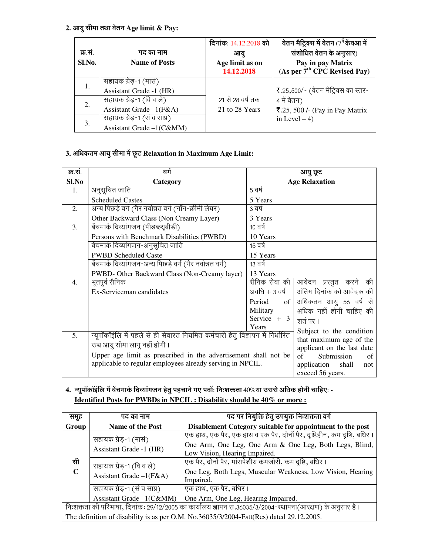## 2. आयु सीमा तथा वेतन Age limit & Pay:

| क्र.सं.<br>Sl.No. | पद का नाम<br><b>Name of Posts</b>                         | दिनांक: 14.12.2018 को<br>आय<br>Age limit as on<br>14.12.2018 | वेतन मैट्रिक्स में वेतन (7 <sup>बें</sup> केंवआ में<br>संशोधित वेतन के अनुसार)<br>Pay in pay Matrix<br>(As per $7th$ CPC Revised Pay) |
|-------------------|-----------------------------------------------------------|--------------------------------------------------------------|---------------------------------------------------------------------------------------------------------------------------------------|
| 1.                | सहायक ग्रेड़-1 (मासं)<br>Assistant Grade -1 (HR)          |                                                              | ₹.25,500/- (वेतन मैट्रिक्स का स्तर-                                                                                                   |
| 2.                | सहायक ग्रेड़-1 (वि व ले)<br>Assistant Grade $-1(F\&A)$    | 21 से 28 वर्ष तक<br>21 to 28 Years                           | 4 में वेतन)<br>₹.25, 500 /- (Pay in Pay Matrix                                                                                        |
| 3.                | सहायक ग्रेड़-1 (सं व साप्र)<br>Assistant Grade $-1(C&MM)$ |                                                              | in Level $-4$ )                                                                                                                       |

# 3. अधिकतम आयु सीमा में छूट Relaxation in Maximum Age Limit:

| क्र.सं.          | वर्ग                                                                           | आयु छूट                                            |
|------------------|--------------------------------------------------------------------------------|----------------------------------------------------|
| Sl.No            | Category                                                                       | <b>Age Relaxation</b>                              |
| 1.               | अनुसूचित जाति                                                                  | 5 वर्ष                                             |
|                  | <b>Scheduled Castes</b>                                                        | 5 Years                                            |
| 2.               | अन्य पिछड़े वर्ग (गैर नवोन्नत वर्ग (नॉन-क्रीमी लेयर)                           | 3 वर्ष                                             |
|                  | Other Backward Class (Non Creamy Layer)                                        | 3 Years                                            |
| 3.               | बेंचमार्क दिव्यांगजन (पीडब्ल्यूबीडी)                                           | 10 वर्ष                                            |
|                  | Persons with Benchmark Disabilities (PWBD)                                     | 10 Years                                           |
|                  | बेंचमार्क दिव्यांगजन-अनुसूचित जाति                                             | 15 वर्ष                                            |
|                  | <b>PWBD Scheduled Caste</b>                                                    | 15 Years                                           |
|                  | बेंचमार्क दिव्यांगजन-अन्य पिछड़े वर्ग (गैर नवोन्नत वर्ग)                       | 13 वर्ष                                            |
|                  | PWBD- Other Backward Class (Non-Creamy layer)                                  | 13 Years                                           |
| $\overline{4}$ . | भूतपूर्व सैनिक                                                                 | सैनिक सेवा की  <br>आवेदन प्रस्तुत करने की          |
|                  | Ex-Serviceman candidates                                                       | अंतिम दिनांक को आवेदक की<br>अवधि + 3 वर्ष          |
|                  |                                                                                | अधिकतम आयू 56 वर्ष से<br>Period<br>of <sub>1</sub> |
|                  |                                                                                | Military<br>अधिक नहीं होनी चाहिए की                |
|                  |                                                                                | Service $+3$<br>शर्त पर।                           |
|                  |                                                                                | Years<br>Subject to the condition                  |
| 5.               | न्यूपॉकॉइंलि में पहले से ही सेवारत नियमित कर्मचारी हेतु विज्ञापन में निर्धारित | that maximum age of the                            |
|                  | उच्च आयु सीमा लागू नहीं होगी।                                                  | applicant on the last date                         |
|                  | Upper age limit as prescribed in the advertisement shall not be                | Submission<br>of<br>of                             |
|                  | applicable to regular employees already serving in NPCIL.                      | application<br>shall<br>not                        |
|                  |                                                                                | exceed 56 years.                                   |

## <u>4. न्यूपॉकॉइंलि में बेचमार्क दिव्यांगजन हेतु पहचाने गए पदो: निःशक्तता 40%या उससे अधिक होनी चाहिए</u>: -**Identified Posts for PWBDs in NPCIL : Disability should be 40% or more :**

| समूह                                                                                                      | पद का नाम                                                                               | पद पर नियुक्ति हेतु उपयुक्त निःशक्तता वर्ग                                                                                                                          |  |
|-----------------------------------------------------------------------------------------------------------|-----------------------------------------------------------------------------------------|---------------------------------------------------------------------------------------------------------------------------------------------------------------------|--|
| Group                                                                                                     | Name of the Post                                                                        | Disablement Category suitable for appointment to the post                                                                                                           |  |
| सी<br>$\mathbf C$                                                                                         | सहायक ग्रेड़-1 (मासं)<br>Assistant Grade -1 (HR)                                        | एक हाथ, एक पैर, एक हाथ व एक पैर, दोनों पैर, दृष्टिहीन, कम दृष्टि, बधिर ।<br>One Arm, One Leg, One Arm & One Leg, Both Legs, Blind,<br>Low Vision, Hearing Impaired. |  |
|                                                                                                           | सहायक ग्रेड़-1 (वि व ले)<br>Assistant Grade $-1(F\&A)$                                  | एक पैर, दोनों पैर, मांसपेशीय कमज़ोरी, कम दृष्टि, बधिर ।<br>One Leg, Both Legs, Muscular Weakness, Low Vision, Hearing<br>Impaired.                                  |  |
|                                                                                                           | सहायक ग्रेड़-1 (सं व साप्र)                                                             | एक हाथ, एक पैर, बधिर।                                                                                                                                               |  |
|                                                                                                           | Assistant Grade $-1(C&MM)$                                                              | One Arm, One Leg, Hearing Impaired.                                                                                                                                 |  |
| निःशक्तता की परिभाषा, दिनांक: 29/12/2005 का कार्यालय ज्ञापन सं.36035/3/2004-स्थापना(आरक्षण) के अनुसार है। |                                                                                         |                                                                                                                                                                     |  |
|                                                                                                           | The definition of disability is as per O.M. No.36035/3/2004-Estt(Res) dated 29.12.2005. |                                                                                                                                                                     |  |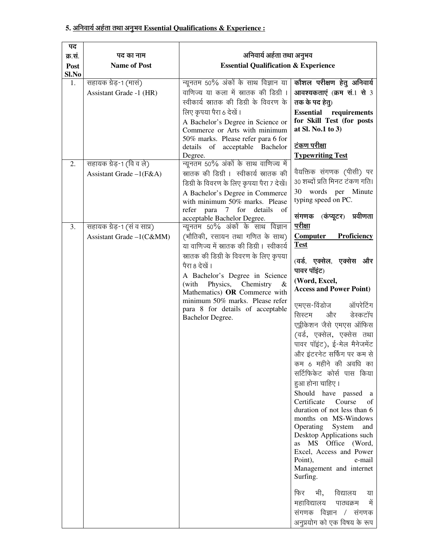| पद              |                                                         |                                                                                                                                                                                                                                                                                                                                                                                     |                                                                                                                                                                                                                                                                                                                                                                                                                                                                                                                                                                                                                                                                                                                                                                                                                                               |
|-----------------|---------------------------------------------------------|-------------------------------------------------------------------------------------------------------------------------------------------------------------------------------------------------------------------------------------------------------------------------------------------------------------------------------------------------------------------------------------|-----------------------------------------------------------------------------------------------------------------------------------------------------------------------------------------------------------------------------------------------------------------------------------------------------------------------------------------------------------------------------------------------------------------------------------------------------------------------------------------------------------------------------------------------------------------------------------------------------------------------------------------------------------------------------------------------------------------------------------------------------------------------------------------------------------------------------------------------|
| क्र.सं.<br>Post | पद का नाम<br><b>Name of Post</b>                        | अनिवार्य अर्हता तथा अनुभव<br><b>Essential Qualification &amp; Experience</b>                                                                                                                                                                                                                                                                                                        |                                                                                                                                                                                                                                                                                                                                                                                                                                                                                                                                                                                                                                                                                                                                                                                                                                               |
| Sl.No           |                                                         |                                                                                                                                                                                                                                                                                                                                                                                     |                                                                                                                                                                                                                                                                                                                                                                                                                                                                                                                                                                                                                                                                                                                                                                                                                                               |
| 1.              | सहायक ग्रेड़-1 (मासं)<br>Assistant Grade -1 (HR)        | न्यूनतम 50% अंकों के साथ विज्ञान या<br>वाणिज्य या कला में स्नातक की डिग्री ।<br>स्वीकार्य स्नातक की डिग्री के विवरण के<br>लिए कृपया पैरा 6 देखें ।<br>A Bachelor's Degree in Science or<br>Commerce or Arts with minimum<br>50% marks. Please refer para 6 for<br>details of acceptable Bachelor<br>Degree.                                                                         | कोशल परीक्षण हेतु अनिवार्य<br>आवश्यकताएं (क्रम सं.1 से 3<br>तक के पद हेत्)<br><b>Essential</b><br>requirements<br>for Skill Test (for posts<br>at Sl. No.1 to 3)<br><u>टंकण परीक्षा</u><br><b>Typewriting Test</b>                                                                                                                                                                                                                                                                                                                                                                                                                                                                                                                                                                                                                            |
| 2.              | सहायक ग्रेड़-1 (वि व ले)<br>Assistant Grade $-1(F\&A)$  | न्यूनतम 50% अंकों के साथ वाणिज्य में<br>स्नातक की डिग्री । स्वीकार्य स्नातक की<br>डिग्री के विवरण के लिए कृपया पैरा 7 देखें।<br>A Bachelor's Degree in Commerce<br>with minimum 50% marks. Please<br>refer para 7 for details<br>of<br>acceptable Bachelor Degree.                                                                                                                  | वैयक्तिक संगणक (पीसी) पर<br>30 शब्दों प्रति मिनट टंकण गति।<br>30 words per Minute<br>typing speed on PC.<br>संगणक (कंप्यूटर) प्रवीणता                                                                                                                                                                                                                                                                                                                                                                                                                                                                                                                                                                                                                                                                                                         |
| 3.              | सहायक ग्रेड़-1 (सं व साप्र)<br>Assistant Grade -1(C&MM) | न्यूनतम 50% अंकों के साथ विज्ञान<br>(भौतिकी, रसायन तथा गणित के साथ)<br>या वाणिज्य में स्नातक की डिग्री ।  स्वीकार्य<br>स्नातक की डिग्री के विवरण के लिए कृपया<br>पैरा 8 देखें।<br>A Bachelor's Degree in Science<br>Chemistry<br>(with<br>Physics,<br>&<br>Mathematics) OR Commerce with<br>minimum 50% marks. Please refer<br>para 8 for details of acceptable<br>Bachelor Degree. | <u>परीक्षा</u><br><b>Computer</b><br><b>Proficiency</b><br><b>Test</b><br>(वर्ड, एक्सेल, एक्सेस और<br>पावर पॉइंट)<br>(Word, Excel,<br><b>Access and Power Point)</b><br>एमएस-विंडोज<br>ऑपरेटिंग<br>और<br>डेस्कटॉप<br>सिस्टम<br>एप्लीकेशन जैसे एमएस ऑफिस<br>(वर्ड, एक्सेल, एक्सेस तथा<br>पावर पॉइंट), ई-मेल मैनेजमेंट<br>और इंटरनेट सर्फिंग पर कम से<br>कम 6 महीने की अवधि का<br>सर्टिफिकेट कोर्स पास किया<br>हुआ होना चाहिए।<br>Should have passed a<br>Certificate Course<br><sub>of</sub><br>duration of not less than 6<br>months on MS-Windows<br>Operating System<br>and<br>Desktop Applications such<br>as MS Office (Word,<br>Excel, Access and Power<br>Point),<br>e-mail<br>Management and internet<br>Surfing.<br>फिर भी, विद्यालय<br>या<br>महाविद्यालय<br>में<br>पाठ्यक्रम<br>संगणक विज्ञान / संगणक<br>अनुप्रयोग को एक विषय के रूप |

 $\blacksquare$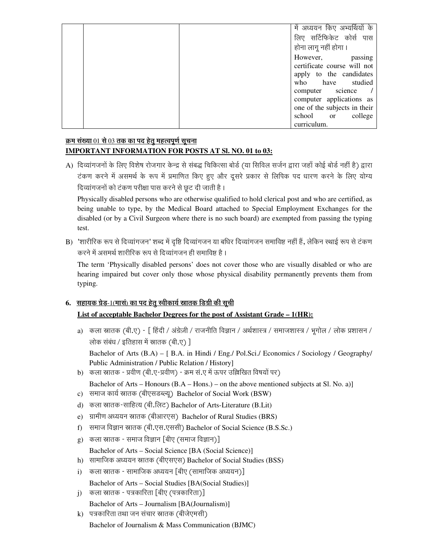|  | में अध्ययन किए अभ्यर्थियों के |
|--|-------------------------------|
|  | लिए सर्टिफिकेट कोर्स पास      |
|  | होना लागू नहीं होगा।          |
|  | However, passing              |
|  | certificate course will not   |
|  | apply to the candidates       |
|  | who have studied              |
|  | computer science              |
|  | computer applications as      |
|  | one of the subjects in their  |
|  | school or<br>college          |
|  | curriculum.                   |

## <u>क्रम संख्या 01 से 03 तक का पद हेतू महत्वपूर्ण सूचना</u> **IMPORTANT INFORMATION FOR POSTS AT SI. NO. 01 to 03:**

A) दिव्यांगजनों के लिए विशेष रोजगार केन्द्र से संबद्ध चिकित्सा बोर्ड (या सिविल सर्जन द्वारा जहाँ कोई बोर्ड नहीं है) द्वारा टंकण करने में असमर्थ के रूप में प्रमाणित किए हुए और दूसरे प्रकार से लिपिक पद धारण करने के लिए योग्य दिव्यांगजनों को टंकण परीक्षा पास करने से छूट दी जाती है।

Physically disabled persons who are otherwise qualified to hold clerical post and who are certified, as being unable to type, by the Medical Board attached to Special Employment Exchanges for the disabled (or by a Civil Surgeon where there is no such board) are exempted from passing the typing test.

B) 'शारीरिक रूप से दिव्यांगजन' शब्द में दृष्टि दिव्यांगजन या बधिर दिव्यांगजन समाविष्ट नहीं हैं, लेकिन स्थाई रूप से टंकण करने में असमर्थ शारीरिक रूप से दिव्यांगजन ही समाविष्ट है ।

The term 'Physically disabled persons' does not cover those who are visually disabled or who are hearing impaired but cover only those whose physical disability permanently prevents them from typing.

# <u>6. सहायक ग्रेड-1(मासं) का पद हेतु स्वीकार्य स्नातक डिग्री की सूची</u>

# List of acceptable Bachelor Degrees for the post of Assistant Grade – 1(HR):

- a) कला स्नातक (बी.ए) [ हिंदी / अंग्रेज़ी / राजनीति विज्ञान / अर्थशास्त्र / समाजशास्त्र / भूगोल / लोक प्रशासन / लोक संबंध / इतिहास में स्नातक (बी.ए) ] Bachelor of Arts (B.A) – [B.A. in Hindi / Eng./ Pol.Sci./ Economics / Sociology / Geography/ Public Administration / Public Relation / History]
- b) कला स्नातक प्रवीण (बी.ए-प्रवीण) क्रम सं.ए में ऊपर उल्लिखित विषयों पर)

Bachelor of Arts – Honours (B.A – Hons.) – on the above mentioned subjects at Sl. No. a)]

- c) समाज कार्य स्नातक (बीएसडब्ल्यू) Bachelor of Social Work (BSW)
- d) कला स्नातक-साहित्य (बी.लिट) Bachelor of Arts-Literature (B.Lit)
- e) ग्रामीण अध्ययन स्नातक (बीआरएस) Bachelor of Rural Studies (BRS)
- f) समाज विज्ञान स्नातक (बी.एस.एससी) Bachelor of Social Science (B.S.Sc.)
- g) कला स्नातक समाज विज्ञान [बीए (समाज विज्ञान)]
- Bachelor of Arts Social Science [BA (Social Science)]
- h) सामाजिक अध्ययन स्नातक (बीएसएस) Bachelor of Social Studies (BSS)
- i) कला स्नातक सामाजिक अध्ययन [बीए (सामाजिक अध्ययन)]
	- Bachelor of Arts Social Studies [BA(Social Studies)]
- j) कला स्नातक पत्रकारिता [बीए (पत्रकारिता)]

Bachelor of Arts - Journalism [BA(Journalism)]

k) पत्रकारिता तथा जन संचार स्नातक (बीजेएमसी)

Bachelor of Journalism & Mass Communication (BJMC)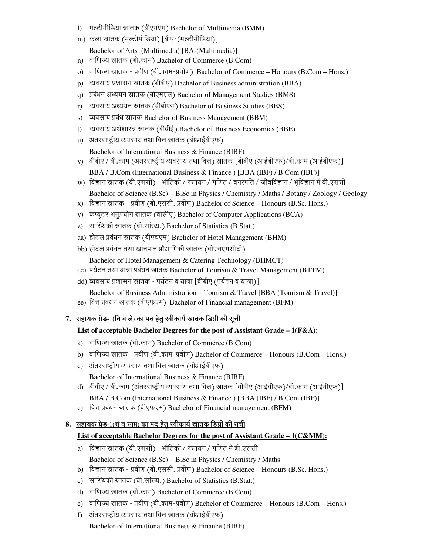- 1) मल्टीमीडिया स्नातक (बीएमएम) Bachelor of Multimedia (BMM)
- m) कला स्नातक (मल्टीमीडिया) [बीए-(मल्टीमीडिया)] Bachelor of Arts (Multimedia) [BA-(Multimedia)]
- n) वाणिज्य स्नातक (बी.काम) Bachelor of Commerce (B.Com)
- o) वाणिज्य स्नातक प्रवीण (बी.काम-प्रवीण) Bachelor of Commerce Honours (B.Com Hons.)
- p) व्यवसाय प्रशासन स्नातक (बीबीए) Bachelor of Business administration (BBA)
- q) प्रबंधन अध्ययन स्नातक (बीएमएस) Bachelor of Management Studies (BMS)
- r) व्यवसाय अध्ययन स्नातक (बीबीएस) Bachelor of Business Studies (BBS)
- s) व्यवसाय प्रबंध स्नातक Bachelor of Business Management (BBM)
- t) व्यवसाय अर्थशास्त्र स्नातक (बीबीई) Bachelor of Business Economics (BBE)
- u) अंतरराष्ट्रीय व्यवसाय तथा वित्त स्नातक (बीआईबीएफ)

Bachelor of International Business & Finance (BIBF)

- v) बीबीए / बी.काम (अंतरराष्ट्रीय व्यवसाय तथा वित्त) स्नातक [बीबीए (आईबीएफ)/बी.काम (आईबीएफ)] BBA / B.Com (International Business & Finance ) [BBA (IBF) / B.Com (IBF)]
- w) विज्ञान स्रातक (बी.एससी) भौतिकी / रसायन / गणित / वनस्पति / जीवविज्ञान / भूविज्ञान में बी.एससी Bachelor of Science (B.Sc) – B.Sc in Physics / Chemistry / Maths / Botany / Zoology / Geology
- x) विज्ञान स्नातक प्रवीण (बी.एससी. प्रवीण) Bachelor of Science Honours (B.Sc. Hons.)
- y) कंप्यूटर अनुप्रयोग स्नातक (बीसीए) Bachelor of Computer Applications (BCA)
- z) सांख्यिकी स्नातक (बी.सांख्य.) Bachelor of Statistics (B.Stat.)
- aa) होटल प्रबंधन स्नातक (बीएचएम) Bachelor of Hotel Management (BHM)
- bb) होटल प्रबंधन तथा खानपान प्रौद्योगिकी स्नातक (बीएचएमसीटी)

Bachelor of Hotel Management & Catering Technology (BHMCT)

- cc) पर्यटन तथा यात्रा प्रबंधन स्नातक Bachelor of Tourism & Travel Management (BTTM)
- dd) व्यवसाय प्रशासन स्नातक पर्यटन व यात्रा [बीबीए (पर्यटन व यात्रा)]

Bachelor of Business Administration – Tourism & Travel [BBA (Tourism & Travel)]

ee) वित्त प्रबंधन स्नातक (बीएफएम) Bachelor of Financial management (BFM)

## <u>7. सहायक ग्रेड़-1(वि व ले) का पद हेतु स्वीकार्य स्नातक डिग्री की सूची</u>

## **List of acceptable Bachelor Degrees for the post of Assistant Grade – 1(F&A):**

- a) वाणिज्य स्नातक (बी.काम) Bachelor of Commerce (B.Com)
- b) वाणिज्य स्नातक प्रवीण (बी.काम-प्रवीण) Bachelor of Commerce Honours (B.Com Hons.)
- c) अंतरराष्ट्रीय व्यवसाय तथा वित्त स्नातक (बीआईबीएफ)
	- Bachelor of International Business & Finance (BIBF)
- d) बीबीए / बी.काम (अंतरराष्ट्रीय व्यवसाय तथा वित्त) स्नातक [बीबीए (आईबीएफ)/बी.काम (आईबीएफ)] BBA / B.Com (International Business & Finance ) [BBA (IBF) / B.Com (IBF)]
- e) वित्त प्रबंधन स्नातक (बीएफएम) Bachelor of Financial management (BFM)

# <u>8. सहायक ग्रेड़-1(सं व साप्र) का पद हेतु स्वीकार्य स्नातक डिग्री की सूची</u>

# **List of acceptable Bachelor Degrees for the post of Assistant Grade – 1(C&MM):**

- a) विज्ञान स्नातक (बी.एससी) भौतिकी / रसायन / गणित में बी.एससी Bachelor of Science (B.Sc) – B.Sc in Physics / Chemistry / Maths
- b) विज्ञान स्नातक प्रवीण (बी.एससी. प्रवीण) Bachelor of Science Honours (B.Sc. Hons.)
- c) सांख्यिकी स्नातक (बी.सांख्य.) Bachelor of Statistics (B.Stat.)
- d) वाणिज्य स्नातक (बी.काम) Bachelor of Commerce (B.Com)
- e) वाणिज्य स्नातक प्रवीण (बी.काम-प्रवीण) Bachelor of Commerce Honours (B.Com Hons.)
- f) अंतरराष्ट्रीय व्यवसाय तथा वित्त स्नातक (बीआईबीएफ)

Bachelor of International Business & Finance (BIBF)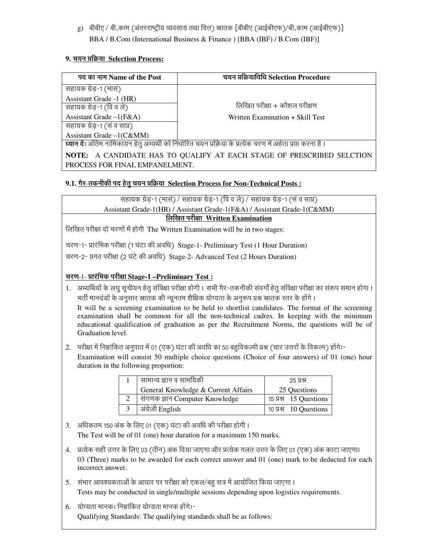g) बीबीए / बी.काम (अंतरराष्ट्रीय व्यवसाय तथा वित्त) स्नातक [बीबीए (आईबीएफ)/बी.काम (आईबीएफ)] BBA / B.Com (International Business & Finance ) [BBA (IBF) / B.Com (IBF)]

#### **9.** E "4 **Selection Process:**

| पद का नाम Name of the Post                                                                                      | चयन प्रक्रियाविधि Selection Procedure |  |
|-----------------------------------------------------------------------------------------------------------------|---------------------------------------|--|
| सहायक ग्रेड़-1 (मासं)                                                                                           |                                       |  |
| Assistant Grade -1 (HR)                                                                                         |                                       |  |
| सहायक ग्रेड़-1 (वि व ले)                                                                                        | लिखित परीक्षा + कौशल परीक्षण          |  |
| Assistant Grade $-1(F\&A)$                                                                                      | Written Examination + Skill Test      |  |
| सहायक ग्रेड़-1 (सं व साप्र)                                                                                     |                                       |  |
| Assistant Grade $-1(C&MM)$                                                                                      |                                       |  |
| ध्यान दें: अंतिम नामिकायन हेतु अभ्यर्थी को निर्धारित चयन प्रक्रिया के प्रत्येक चरण में अर्हता प्राप्त करना है । |                                       |  |
| NOTE: A CANDIDATE HAS TO QUALIFY AT EACH STAGE OF PRESCRIBED SELCTION                                           |                                       |  |

#### PROCESS FOR FINAL EMPANELMENT.

## **9.1.** D0-5 / ह
5 E "4 **Selection Process for Non-Technical Posts :**

सहायक ग्रेड-1 (मासं) / सहायक ग्रेड-1 (वि व ले) / सहायक ग्रेड-1 (सं व साप्र)

Assistant Grade-1(HR) / Assistant Grade-1(F&A) / Assistant Grade-1(C&MM)

#### X5 : **Written Examination**

लिखित परीक्षा दो चरणों में होगी The Written Examination will be in two stages:

चरण-1- प्रारंभिक परीक्षा (1 घंटा की अवधि) Stage-1- Preliminary Test (1 Hour Duration)

चरण-2- प्रगत परीक्षा (2 घंटे की अवधि) Stage-2- Advanced Test (2 Hours Duration)

## चरण-1- प्रारंभिक परीक्षा Stage-1 –Preliminary Test :

Graduation level.

1. अभ्यर्थियों के लघू सूचीयन हेतू संविक्षा परीक्षा होगी । सभी गैर-तकनीकी संवर्गों हेतू संविक्षा परीक्षा का संरूप समान होगा । भर्ती मानदंडों के अनुसार स्नातक की न्यूनतम शैक्षिक योग्यता के अनुरूप प्रश्न स्नातक स्तर के होंगे । It will be a screening examination to be held to shortlist candidates. The format of the screening examination shall be common for all the non-technical cadres. In keeping with the minimum educational qualification of graduation as per the Recruitment Norms, the questions will be of

2. परीक्षा में निम्नांकित अनुपात में 01 (एक) घंटा की अवधि का 50 बहुविकल्पी प्रश्न (चार उत्तरों के विकल्प) होंगे:-

Examination will consist 50 multiple choice questions (Choice of four answers) of 01 (one) hour duration in the following proportion:

| सामान्य ज्ञान व सामयिकी             | २५ प्रश्न                      |
|-------------------------------------|--------------------------------|
| General Knowledge & Current Affairs | 25 Questions                   |
| संगणक ज्ञान Computer Knowledge      | 15 Y <sup>9</sup> 15 Questions |
| अंग्रेज़ी English                   | 10 प्रश्न 10 Questions         |

- 3. अधिकतम 150 अंक के लिए 01 (एक) घंटा की अवधि की परीक्षा होगी। The Test will be of 01 (one) hour duration for a maximum 150 marks.
- 4. प्रत्येक सही उत्तर के लिए 03 (तीन) अंक दिया जाएगा और प्रत्येक गलत उत्तर के लिए 01 (एक) अंक काटा जाएगा। 03 (Three) marks to be awarded for each correct answer and 01 (one) mark to be deducted for each incorrect answer.
- 5. संभार आवश्यकताओं के आधार पर परीक्षा को एकल/बहु सत्र में आयोजित किया जाएगा। Tests may be conducted in single/multiple sessions depending upon logistics requirements.
- 6. योग्यता मानक: निम्नांकित योग्यता मानक होंगे:-Qualifying Standards: The qualifying standards shall be as follows: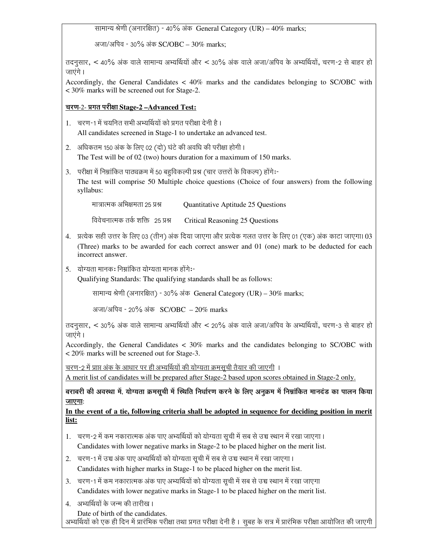सामान्य श्रेणी (अनारक्षित) - 40% अंक General Category (UR) – 40% marks;

अजा/अपिव - 30% अंक SC/OBC - 30% marks:

तदनुसार, < 40% अंक वाले सामान्य अभ्यर्थियों और < 30% अंक वाले अजा/अपिव के अभ्यर्थियों, चरण-2 से बाहर हो जाएंगे ।

Accordingly, the General Candidates < 40% marks and the candidates belonging to SC/OBC with < 30% marks will be screened out for Stage-2.

#### <u>चरण-2- प्रगत परीक्षा Stage-2 –Advanced Test:</u>

- 1. वरण-1 में चयनित सभी अभ्यर्थियों को प्रगत परीक्षा देनी है। All candidates screened in Stage-1 to undertake an advanced test.
- 2. अधिकतम 150 अंक के लिए 02 (दो) घंटे की अवधि की परीक्षा होगी। The Test will be of 02 (two) hours duration for a maximum of 150 marks.
- 3. परीक्षा में निम्नांकित पाठ्यक्रम में 50 बहूविकल्पी प्रश्न (चार उत्तरों के विकल्प) होंगे:-The test will comprise 50 Multiple choice questions (Choice of four answers) from the following syllabus:

मात्रात्मक अभिक्षमता 25 प्रश्न Quantitative Aptitude 25 Questions

विवेचनात्मक तर्क शक्ति 25 प्रश्न  $Critical$  Reasoning 25 Questions

- 4. प्रत्येक सही उत्तर के लिए 03 (तीन) अंक दिया जाएगा और प्रत्येक गलत उत्तर के लिए 01 (एक) अंक काटा जाएगा। 03 (Three) marks to be awarded for each correct answer and 01 (one) mark to be deducted for each incorrect answer.
- 5. योग्यता मानक: निम्नांकित योग्यता मानक होंगे:-

Qualifying Standards: The qualifying standards shall be as follows:

सामान्य श्रेणी (अनारक्षित) - 30% अंक General Category (UR) – 30% marks;

अजा/अपिव - 20% अंक SC/OBC - 20% marks

तदनुसार, < 30% अंक वाले सामान्य अभ्यर्थियों और < 20% अंक वाले अजा/अपिव के अभ्यर्थियों, चरण-3 से बाहर हो जाएंगे ।

Accordingly, the General Candidates < 30% marks and the candidates belonging to SC/OBC with < 20% marks will be screened out for Stage-3.

चरण-2 में प्राप्त अंक के आधार पर ही अभ्यर्थियों की योग्यता क्रमसूची तैयार की जाएगी ।

A merit list of candidates will be prepared after Stage-2 based upon scores obtained in Stage-2 only.

बराबरी की अवस्था में, योग्यता क्रमसूची में स्थिति निर्धारण करने के लिए अनुक्रम में निम्नाकित मानदंड का पालन किया **जाएगाः** 

**In the event of a tie, following criteria shall be adopted in sequence for deciding position in merit list:**

- 1. वरण-2 में कम नकारात्मक अंक पाए अभ्यर्थियों को योग्यता सूची में सब से उच्च स्थान में रखा जाएगा। Candidates with lower negative marks in Stage-2 to be placed higher on the merit list.
- 2. चरण-1 में उच्च अंक पाए अभ्यर्थियों को योग्यता सूची में सब से उच्च स्थान में रखा जाएगा। Candidates with higher marks in Stage-1 to be placed higher on the merit list.
- 3. वरण-1 में कम नकारात्मक अंक पाए अभ्यर्थियों को योग्यता सुची में सब से उच्च स्थान में रखा जाएगा Candidates with lower negative marks in Stage-1 to be placed higher on the merit list.
- 4. अभ्यर्थियों के जन्म की तारीख।

Date of birth of the candidates.

अभ्यर्थियों को एक ही दिन में प्रारंभिक परीक्षा तथा प्रगत परीक्षा देनी है । सुबह के सत्र में प्रारंभिक परीक्षा आयोजित की जाएगी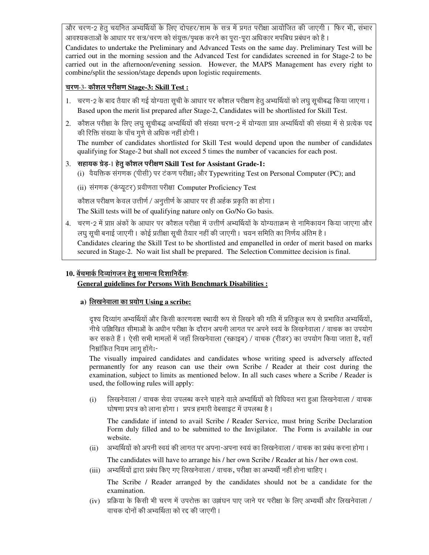और चरण-2 हेतु चयनित अभ्यर्थियों के लिए दोपहर/शाम के सत्र में प्रगत परीक्षा आयोजित की जाएगी । फिर भी, संभार आवश्यकताओं के आधार पर सत्र/चरण को संयुक्त/पृथक करने का पूरा-पूरा अधिकार मपबिघ प्रबंधन को है ।

Candidates to undertake the Preliminary and Advanced Tests on the same day. Preliminary Test will be carried out in the morning session and the Advanced Test for candidates screened in for Stage-2 to be carried out in the afternoon/evening session. However, the MAPS Management has every right to combine/split the session/stage depends upon logistic requirements.

#### <u>चरण-3- कौशल परीक्षण Stage-3: Skill Test :</u>

- 1. चरण-2 के बाद तैयार की गई योग्यता सूची के आधार पर कौशल परीक्षण हेतू अभ्यर्थियों को लघु सूचीबद्ध किया जाएगा। Based upon the merit list prepared after Stage-2, Candidates will be shortlisted for Skill Test.
- 2. कौशल परीक्षा के लिए लघु सूचीबद्ध अभ्यर्थियों की संख्या चरण-2 में योग्यता प्राप्त अभ्यर्थियों की संख्या में से प्रत्येक पद की रिक्ति संख्या के पाँच गुणे से अधिक नहीं होगी ।

The number of candidates shortlisted for Skill Test would depend upon the number of candidates qualifying for Stage-2 but shall not exceed 5 times the number of vacancies for each post.

## 3. सहायक ग्रेड़-1 हेतु कौशल परीक्षण Skill Test for Assistant Grade-1:

(i) वैयक्तिक संगणक (पीसी) पर टंकण परीक्षा; और Typewriting Test on Personal Computer (PC); and

(ii) संगणक (कंप्यूटर) प्रवीणता परीक्षा Computer Proficiency Test

कौशल परीक्षण केवल उत्तीर्ण / अनुत्तीर्ण के आधार पर ही अर्हक प्रकृति का होगा। The Skill tests will be of qualifying nature only on Go/No Go basis.

4. ) चरण-2 में प्राप्त अंकों के आधार पर कौशल परीक्षा में उत्तीर्ण अभ्यर्थियों के योग्यताक्रम से नामिकायन किया जाएगा और लघु सूची बनाई जाएगी । कोई प्रतीक्षा सूची तैयार नहीं की जाएगी । चयन समिति का निर्णय अंतिम है । Candidates clearing the Skill Test to be shortlisted and empanelled in order of merit based on marks secured in Stage-2. No wait list shall be prepared. The Selection Committee decision is final.

## 10. <u>बेंचमार्क दिव्यांगजन हेतु सामान्य दिशानिर्देशः</u> **General guidelines for Persons With Benchmark Disabilities :**

## <u>a) लिखनेवाला का प्रयोग Using a scribe:</u>

दृश्य दिव्यांग अभ्यर्थियों और किसी कारणवश स्थायी रूप से लिखने की गति में प्रतिकृल रूप से प्रभावित अभ्यर्थियों, नीचे उल्लिखित सीमाओं के अधीन परीक्षा के दौरान अपनी लागत पर अपने स्वयं के लिखनेवाला / वाचक का उपयोग कर सकते हैं। ऐसी सभी मामलों में जहाँ लिखनेवाला (स्क्राइब) / वाचक (रीडर) का उपयोग किया जाता है, वहाँ निम्नांकित नियम लागू होंगे:-

The visually impaired candidates and candidates whose writing speed is adversely affected permanently for any reason can use their own Scribe / Reader at their cost during the examination, subject to limits as mentioned below. In all such cases where a Scribe / Reader is used, the following rules will apply:

(i) तिखनेवाला / वाचक सेवा उपलब्ध करने चाहने वाले अभ्यर्थियों को विधिवत भरा हुआ लिखनेवाला / वाचक घोषणा प्रपत्र को लाना होगा । प्रपत्र हमारी वेबसाइट में उपलब्ध है ।

The candidate if intend to avail Scribe / Reader Service, must bring Scribe Declaration Form duly filled and to be submitted to the Invigilator. The Form is available in our website.

(ii) अभ्यर्थियों को अपनी स्वयं की लागत पर अपना-अपना स्वयं का लिखनेवाला / वाचक का प्रबंध करना होगा ।

The candidates will have to arrange his / her own Scribe / Reader at his / her own cost.

(iii) अभ्यर्थियों द्वारा प्रबंध किए गए लिखनेवाला / वाचक, परीक्षा का अभ्यर्थी नहीं होना चाहिए ।

The Scribe / Reader arranged by the candidates should not be a candidate for the examination.

(iv) प्रक्रिया के किसी भी चरण में उपरोक्त का उल्लंघन पाए जाने पर परीक्षा के लिए अभ्यर्थी और लिखनेवाला / वाचक दोनों की अभ्यर्थिता को रद्द की जाएगी।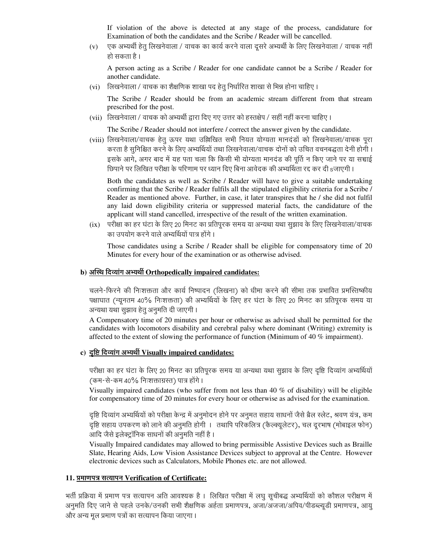If violation of the above is detected at any stage of the process, candidature for Examination of both the candidates and the Scribe / Reader will be cancelled.

(v) एक अभ्यर्थी हेतु लिखनेवाला / वाचक का कार्य करने वाला दूसरे अभ्यर्थी के लिए लिखनेवाला / वाचक नहीं हो सकता है ।

A person acting as a Scribe / Reader for one candidate cannot be a Scribe / Reader for another candidate.

(vi) लिखनेवाला / वाचक का शैक्षणिक शाखा पद हेतू निर्धारित शाखा से भिन्न होना चाहिए ।

The Scribe / Reader should be from an academic stream different from that stream prescribed for the post.

(vii) लिखनेवाला / वाचक को अभ्यर्थी द्वारा दिए गए उत्तर को हस्तक्षेप / सहीं नहीं करना चाहिए ।

The Scribe / Reader should not interfere / correct the answer given by the candidate.

(viii) लिखनेवाला/वाचक हेतु ऊपर यथा उल्लिखित सभी नियत योग्यता मानदंडों को लिखनेवाला/वाचक पूरा करता है सुनिश्चित करने के लिए अभ्यर्थियों तथा लिखनेवाला/वाचक दोनों को उचित वचनबद्धता देनी होगी । इसके आगे, अगर बाद में यह पता चला कि किसी भी योग्यता मानदंड की पूर्ति न किए जाने पर या सच्चाई छिपाने पर लिखित परीक्षा के परिणाम पर ध्यान दिए बिना आवेदक की अभ्यर्थिता रद्द कर दी sजाएगी ।

Both the candidates as well as Scribe / Reader will have to give a suitable undertaking confirming that the Scribe / Reader fulfils all the stipulated eligibility criteria for a Scribe / Reader as mentioned above. Further, in case, it later transpires that he / she did not fulfil any laid down eligibility criteria or suppressed material facts, the candidature of the applicant will stand cancelled, irrespective of the result of the written examination.

(ix) परीक्षा का हर घंटा के लिए 20 मिनट का प्रतिपूरक समय या अन्यथा यथा सुझाव के लिए लिखनेवाला/वाचक का उपयोग करने वाले अभ्यर्थियों पात्र होंगे ।

Those candidates using a Scribe / Reader shall be eligible for compensatory time of 20 Minutes for every hour of the examination or as otherwise advised.

#### **b)** अस्थि दिव्यांग अभ्यर्थी Orthopedically impaired candidates:

चलने-फिरने की निःशक्तता और कार्य निष्पादन (लिखना) को धीमा करने की सीमा तक प्रभावित प्रमस्तिष्कीय पक्षाघात (न्यूनतम 40% निःशक्तता) की अभ्यर्थियों के लिए हर घंटा के लिए 20 मिनट का प्रतिपूरक समय या अन्यथा यथा सुझाव हेतु अनुमति दी जाएगी ।

A Compensatory time of 20 minutes per hour or otherwise as advised shall be permitted for the candidates with locomotors disability and cerebral palsy where dominant (Writing) extremity is affected to the extent of slowing the performance of function (Minimum of 40 % impairment).

#### <u>c) दृष्टि दिव्यांग अभ्यर्थी Visually impaired candidates:</u>

परीक्षा का हर घंटा के लिए 20 मिनट का प्रतिपूरक समय या अन्यथा यथा सुझाव के लिए दृष्टि दिव्यांग अभ्यर्थियों (कम-से-कम 40% निःशक्ताग्रस्त) पात्र होंगे ।

Visually impaired candidates (who suffer from not less than 40 % of disability) will be eligible for compensatory time of 20 minutes for every hour or otherwise as advised for the examination.

दृष्टि दिव्यांग अभ्यर्थियों को परीक्षा केन्द्र में अनुमोदन होने पर अनुमत सहाय साधनों जैसे ब्रैल स्लेट, श्रवण यंत्र, कम दृष्टि सहाय उपकरण को लाने की अनुमति होगी । तथापि परिकलित्र (कैल्क्यूलेटर), चल दूरभाष (मोबाइल फोन) आदि जैसे इलेक्ट्रॉनिक साधनों की अनुमति नहीं है ।

Visually Impaired candidates may allowed to bring permissible Assistive Devices such as Braille Slate, Hearing Aids, Low Vision Assistance Devices subject to approval at the Centre. However electronic devices such as Calculators, Mobile Phones etc. are not allowed.

#### 11. प्रमाणपत्र सत्यापन Verification of Certificate:

भर्ती प्रक्रिया में प्रमाण पत्र सत्यापन अति आवश्यक है । लिखित परीक्षा में लघु सूचीबद्ध अभ्यर्थियों को कौशल परीक्षण में अनुमति दिए जाने से पहले उनके/उनकी सभी शैक्षणिक अर्हता प्रमाणपत्र, अजा/अजजा/अपिव/पीडब्ल्यूडी प्रमाणपत्र, आयु और अन्य मूल प्रमाण पत्रों का सत्यापन किया जाएगा ।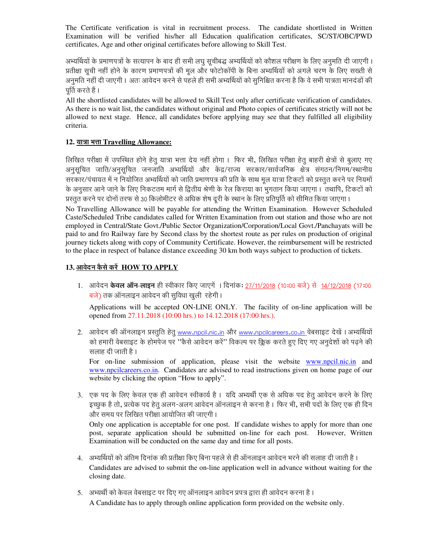The Certificate verification is vital in recruitment process. The candidate shortlisted in Written Examination will be verified his/her all Education qualification certificates, SC/ST/OBC/PWD certificates, Age and other original certificates before allowing to Skill Test.

अभ्यर्थियों के प्रमाणपत्रों के सत्यापन के बाद ही सभी लघु सूचीबद्ध अभ्यर्थियों को कौशल परीक्षण के लिए अनुमति दी जाएगी । प्रतीक्षा सूची नहीं होने के कारण प्रमाणपत्रों की मूल और फोटोकॉपी के बिना अभ्यर्थियों को अगले चरण के लिए सख्ती से अनुमति नहीं दी जाएगी । अतः आवेदन करने से पहले ही सभी अभ्यर्थियों को सुनिश्चित करना है कि वे सभी पात्रता मानदंडों की पूर्ति करते हैं ।

All the shortlisted candidates will be allowed to Skill Test only after certificate verification of candidates. As there is no wait list, the candidates without original and Photo copies of certificates strictly will not be allowed to next stage. Hence, all candidates before applying may see that they fulfilled all eligibility criteria.

#### 12. यात्रा भत्ता Travelling Allowance:

लिखित परीक्षा में उपस्थित होने हेतू यात्रा भत्ता देय नहीं होगा । फिर भी, लिखित परीक्षा हेतू बाहरी क्षेत्रों से बूलाए गए अनुसूचित जाति/अनुसूचित जनजाति अभ्यर्थियों और केंद्र/राज्य सरकार/सार्वजनिक क्षेत्र संगठन/निगम/स्थानीय सरकार/पंचायत में न नियोजित अभ्यर्थियों को जाति प्रमाणपत्र की प्रति के साथ मूल यात्रा टिकटों को प्रस्तुत करने पर नियमों के अनुसार आने जाने के लिए निकटतम मार्ग से द्वितीय श्रेणी के रेल किराया का भूगतान किया जाएगा । तथापि, टिकटों को प्रस्तुत करने पर दोनों तरफ से 30 किलोमीटर से अधिक शेष दूरी के स्थान के लिए प्रतिपूर्ति को सीमित किया जाएगा ।

No Travelling Allowance will be payable for attending the Written Examination. However Scheduled Caste/Scheduled Tribe candidates called for Written Examination from out station and those who are not employed in Central/State Govt./Public Sector Organization/Corporation/Local Govt./Panchayats will be paid to and fro Railway fare by Second class by the shortest route as per rules on production of original journey tickets along with copy of Community Certificate. However, the reimbursement will be restricted to the place in respect of balance distance exceeding 30 km both ways subject to production of tickets.

## <u>13. आवेदन कैसे करें HOW TO APPLY</u>

1. आवेदन **केवल ऑन-लाइन** ही स्वीकार किए जाएगे । दिनांकः <u>27/11/2018</u> (10:00 बजे) से <u>14/12/2018</u> (17:00 ) बजे) तक ऑनलाइन आवेदन की सुविधा खुली रहेगी।

Applications will be accepted ON-LINE ONLY. The facility of on-line application will be opened from 27.11.2018 (10:00 hrs.) to 14.12.2018 (17:00 hrs.).

2. आवेदन की ऑनलाइन प्रस्तुति हेतु www.npcil.nic.in और www.npcilcareers.co.in वेबसाइट देखें । अभ्यर्थियों को हमारी वेबसाइट के होमपेज पर "कैसे आवेदन करें" विकल्प पर क्लिक करते हुए दिए गए अनुदेशों को पढ़ने की सलाह दी जाती है।

For on-line submission of application, please visit the website www.npcil.nic.in and www.npcilcareers.co.in. Candidates are advised to read instructions given on home page of our website by clicking the option "How to apply".

3. एक पद के लिए केवल एक ही आवेदन स्वीकार्य है। यदि अभ्यर्थी एक से अधिक पद हेतू आवेदन करने के लिए इच्छुक है तो, प्रत्येक पद हेतु अलग-अलग आवेदन ऑनलाइन से करना है । फिर भी, सभी पदों के लिए एक ही दिन ओर समय पर लिखित परीक्षा आयोजित की जाएगी।

Only one application is acceptable for one post. If candidate wishes to apply for more than one post, separate application should be submitted on-line for each post. However, Written Examination will be conducted on the same day and time for all posts.

- 4. अभ्यर्थियों को अंतिम दिनांक की प्रतीक्षा किए बिना पहले से ही ऑनलाइन आवेदन भरने की सलाह दी जाती है । Candidates are advised to submit the on-line application well in advance without waiting for the closing date.
- 5. अभ्यर्थी को केवल वेबसाइट पर दिए गए ऑनलाइन आवेदन प्रपत्र द्वारा ही आवेदन करना है। A Candidate has to apply through online application form provided on the website only.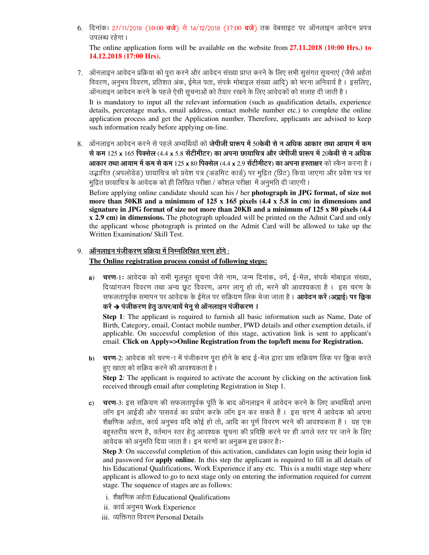6. दिनांक: 27/11/2018 (10:00 बजे) से 14/12/2018 (17:00 बजे) तक वेबसाइट पर ऑनलाइन आवेदन प्रपत्र उपलब्ध रहेगा।

The online application form will be available on the website from **27.11.2018 (10:00 Hrs.) to 14.12.2018 (17:00 Hrs).**

7. ऑनलाइन आवेदन प्रक्रिया को पूरा करने और आवेदन संख्या प्राप्त करने के लिए सभी सुसंगत सूचनाएं (जैसे अर्हता विवरण, अनुभव विवरण, प्रतिशत अंक, ईमेल पता, संपर्क मोबाइल संख्या आदि) को भरना अनिवार्य है। इसलिए, ऑनलाइन आवेदन करने के पहले ऐसी सूचनाओं को तैयार रखने के लिए आवेदकों को सलाह दी जाती है ।

It is mandatory to input all the relevant information (such as qualification details, experience details, percentage marks, email address, contact mobile number etc.) to complete the online application process and get the Application number. Therefore, applicants are advised to keep such information ready before applying on-line.

8. ऑनलाइन आवेदन करने से पहले अभ्यर्थियों को **जेपीजी प्रारूप में 50केबी से न अधिक आकार तथा आयाम में कम** से कम 125 x 165 पिक्सेल (4.4 x 5.8 सेंटीमीटर) का अपना छायाचित्र और जेपीजी प्रारूप में 20केबी से न अधिक आकार तथा आयाम में कम से कम 125 x 80 पिक्सेल (4.4 x 2.9 सेंटीमीटर) का अपना हस्ताक्षर को स्कैन करना है। उद्भारित (अपलोडेड) छायाचित्र को प्रवेश पत्र (अडमिट कार्ड) पर मुद्रित (प्रिंट) किया जाएगा और प्रवेश पत्र पर मुद्रित छायाचित्र के आवेदक को ही लिखित परीक्षा / कौशल परीक्षा में अनुमति दी जाएगी।

Before applying online candidate should scan his / her **photograph in JPG format, of size not more than 50KB and a minimum of 125 x 165 pixels (4.4 x 5.8 in cm) in dimensions and signature in JPG format of size not more than 20KB and a minimum of 125 x 80 pixels (4.4 x 2.9 cm) in dimensions.** The photograph uploaded will be printed on the Admit Card and only the applicant whose photograph is printed on the Admit Card will be allowed to take up the Written Examination/ Skill Test.

## $9.$  ऑनलाइन पंजीकरण प्रक्रिया में निम्नलिखित चरण होंगे : **The Online registration process consist of following steps:**

a) चरण-1: आवेदक को सभी मूलभूत सूचना जैसे नाम, जन्म दिनांक, वर्ग, ई-मेल, संपर्क मोबाइल संख्या, दिव्यांगजन विवरण तथा अन्य छूट विवरण, अगर लागू हो तो, भरने की आवश्यकता है । इस चरण के सफलतापूर्वक समापन पर आवेदक के ईमेल पर सक्रियण लिंक भेजा जाता है । **आवेदन करे (अप्लाई) पर क्लिक** करें  $\rightarrow$  पंजीकरण हेतू ऊपर/बायें मेनू से ऑनलाइन पंजीकरण ।

**Step 1**: The applicant is required to furnish all basic information such as Name, Date of Birth, Category, email, Contact mobile number, PWD details and other exemption details, if applicable. On successful completion of this stage, activation link is sent to applicant's email. **Click on Apply=>Online Registration from the top/left menu for Registration.**

- **b) चरण-**2: आवेदक को चरण-1 में पंजीकरण पूरा होने के बाद ई-मेल द्वारा प्राप्त सक्रियण लिंक पर क्लिक करते हुए खाता को सक्रिय करने की आवश्यकता है। **Step 2**: The applicant is required to activate the account by clicking on the activation link received through email after completing Registration in Step 1.
- c) चरण-3: इस सक्रियण की सफलतापूर्वक पूर्ति के बाद ऑनलाइन में आवेदन करने के लिए अभ्यर्थियों अपना लॉग इन आईडी और पासवर्ड का प्रयोग करके लॉग इन कर सकते हैं। इस चरण में आवेदक को अपना शैक्षणिक अर्हता, कार्य अनुभव यदि कोई हो तो, आदि का पूर्ण विवरण भरने की आवश्यकता है। यह एक बहुस्तरीय चरण है, वर्तमान स्तर हेतू आवश्यक सूचना की प्रविष्टि करने पर ही अगले स्तर पर जाने के लिए आवेदक को अनुमति दिया जाता है । इन चरणों का अनुक्रम इस प्रकार है:-

**Step 3**: On successful completion of this activation, candidates can login using their login id and password for **apply online**. In this step the applicant is required to fill in all details of his Educational Qualifications, Work Experience if any etc. This is a multi stage step where applicant is allowed to go to next stage only on entering the information required for current stage. The sequence of stages are as follows:

- i. शैक्षणिक अर्हता Educational Qualifications
- ii. कार्य अनुभव Work Experience
- iii. व्यक्तिगत विवरण Personal Details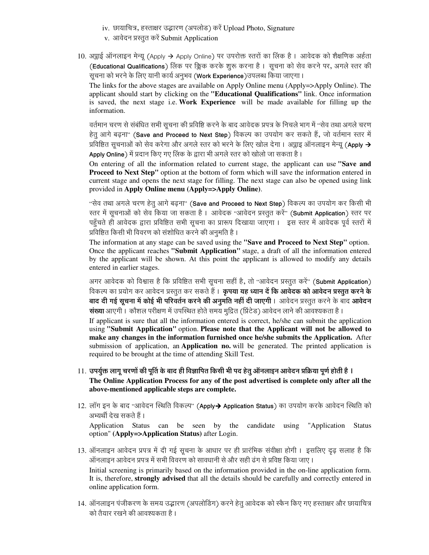- iv. छायाचित्र, हस्ताक्षर उद्भारण (अपलोड) करें Upload Photo, Signature
- v. आवेदन प्रस्तुत करें Submit Application
- 10. अप्लाई ऑनलाइन मेन्यू (Apply  $\rightarrow$  Apply Online) पर उपरोक्त स्तरों का लिंक है। आवेदक को शैक्षणिक अर्हता (Educational Qualifications) लिंक पर क्लिक करके शुरू करना है। सूचना को सेव करने पर, अगले स्तर की सूचना को भरने के लिए यानी कार्य अनुभव (Work Experience)उपलब्ध किया जाएगा।

The links for the above stages are available on Apply Online menu (Apply=>Apply Online). The applicant should start by clicking on the **"Educational Qualifications"** link. Once information is saved, the next stage i.e. **Work Experience** will be made available for filling up the information.

वर्तमान चरण से संबंधित सभी सूचना की प्रविष्टि करने के बाद आवेदक प्रपत्र के निचले भाग में "सेव तथा अगले चरण हेतु आगे बढ़ना" (Save and Proceed to Next Step) विकल्प का उपयोग कर सकते हैं, जो वर्तमान स्तर में प्रविष्टित सूचनाओं को सेव करेगा और अगले स्तर को भरने के लिए खोल देगा । अप्लाइ ऑनलाइन मेन्यू (Apply  $\rightarrow$ Apply Online) में प्रदान किए गए लिंक के द्वारा भी अगले स्तर को खोलो जा सकता है।

On entering of all the information related to current stage, the applicant can use **"Save and Proceed to Next Step"** option at the bottom of form which will save the information entered in current stage and opens the next stage for filling. The next stage can also be opened using link provided in **Apply Online menu (Apply=>Apply Online)**.

"सेव तथा अगले चरण हेतु आगे बढ़ना" (Save and Proceed to Next Step) विकल्प का उपयोग कर किसी भी रतर में सूचनाओं को सेव किया जा सकता है। आवेदक "आवेदन प्रस्तुत करें" (Submit Application) स्तर पर पहुँचते ही आवेदक द्वारा प्रविष्टित सभी सूचना का प्रारूप दिखाया जाएगा । ) इस स्तर में आवेदक पूर्व स्तरों में प्रविष्टित किसी भी विवरण को संशोधित करने की अनुमति है।

The information at any stage can be saved using the **"Save and Proceed to Next Step"** option. Once the applicant reaches **"Submit Application"** stage, a draft of all the information entered by the applicant will be shown. At this point the applicant is allowed to modify any details entered in earlier stages.

आगर आवेदक को विश्वास है कि प्रविष्टित सभी सूचना सहीं है, तो "आवेदन प्रस्तुत करें" (Submit Application) विकल्प का प्रयोग कर आवेदन प्रस्तुत कर सकते हैं । **कृपया यह ध्यान दें कि आवेदक को आवेदन प्रस्तुत करने के** बाद दी गई सूचना में कोई भी परिवर्तन करने की अनुमति नहीं दी जाएगी । आवेदन प्रस्तुत करने के बाद आवेदन **संख्या** आएगी । कौशल परीक्षण में उपस्थित होते समय मुद्रित (प्रिंटेड) आवेदन लाने की आवश्यकता है ।

If applicant is sure that all the information entered is correct, he/she can submit the application using **"Submit Application"** option. **Please note that the Applicant will not be allowed to make any changes in the information furnished once he/she submits the Application.** After submission of application, an **Application no.** will be generated. The printed application is required to be brought at the time of attending Skill Test.

- 11. उपर्युक्त लागू चरणों की पूर्ति के बाद ही विज्ञापित किसी भी पद हेतु ऑनलाइन आवेदन प्रक्रिया पूर्ण होती है । **The Online Application Process for any of the post advertised is complete only after all the above-mentioned applicable steps are complete.**
- 12. लॉग इन के बाद "आवेदन स्थिति विकल्प" (Apply-> Application Status) का उपयोग करके आवेदन स्थिति को अभ्यर्थी देख सकते हैं ।

Application Status can be seen by the candidate using "Application Status option" **(Apply=>Application Status)** after Login.

- 13. ऑनलाइन आवेदन प्रपत्र में दी गई सूचना के आधार पर ही प्रारंभिक संवीक्षा होगी । इसलिए दृढ़ सलाह है कि ऑनलाइन आवेदन प्रपत्र में सभी विवरण को सावधानी से और सही ढंग से प्रविष्ट किया जाए । Initial screening is primarily based on the information provided in the on-line application form. It is, therefore, **strongly advised** that all the details should be carefully and correctly entered in online application form.
- 14. ऑनलाइन पंजीकरण के समय उद्भारण (अपलोडिंग) करने हेतु आवेदक को स्कैन किए गए हस्ताक्षर और छायाचित्र को तैयार रखने की आवश्यकता है ।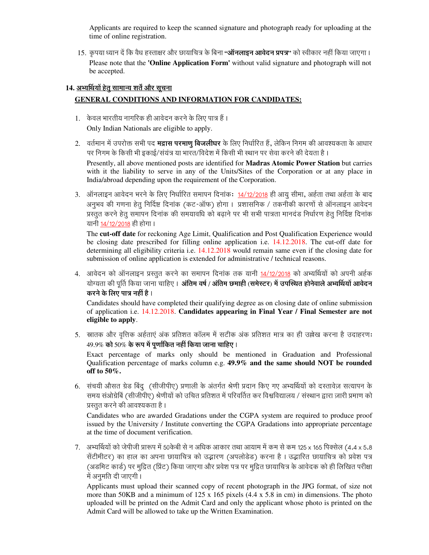Applicants are required to keep the scanned signature and photograph ready for uploading at the time of online registration.

15. कृपया ध्यान दें कि वैध हस्ताक्षर और छायाचित्र के बिना **"ऑनलाइन आवेदन प्रपत्र**" को स्वीकार नहीं किया जाएगा । Please note that the **'Online Application Form'** without valid signature and photograph will not be accepted.

#### 14. <u>अभ्यथियों हेतु सामान्य शर्तें और सूचना</u>

#### **GENERAL CONDITIONS AND INFORMATION FOR CANDIDATES:**

- 1. केवल भारतीय नागरिक ही आवेदन करने के लिए पात्र हैं । Only Indian Nationals are eligible to apply.
- 2. वर्तमान में उपरोक्त सभी पद **मद्रास परमाण बिजलीघर** के लिए निर्धारित हैं, लेकिन निगम की आवश्यकता के आधार पर निगम के किसी भी इकाई/संयंत्र या भारत/विदेश में किसी भी स्थान पर सेवा करने की देयता है ।

Presently, all above mentioned posts are identified for **Madras Atomic Power Station** but carries with it the liability to serve in any of the Units/Sites of the Corporation or at any place in India/abroad depending upon the requirement of the Corporation.

3. ऑनलाइन आवेदन भरने के लिए निर्धारित समापन दिनांक: 14/12/2018 ही आयू सीमा, अर्हता तथा अर्हता के बाद अनुभव की गणना हेतु निर्दिष्ट दिनांक (कट-ऑफ) होगा । प्रशासनिक / तकनीकी कारणों से ऑनलाइन आवेदन प्रस्तुत करने हेतु समापन दिनांक की समयावधि को बढाने पर भी सभी पात्रता मानदंड निर्धारण हेतु निर्दिष्ट दिनांक यानी 14/12/2018 ही होगा।

The **cut-off date** for reckoning Age Limit, Qualification and Post Qualification Experience would be closing date prescribed for filling online application i.e. 14.12.2018. The cut-off date for determining all eligibility criteria i.e. 14.12.2018 would remain same even if the closing date for submission of online application is extended for administrative / technical reasons.

4. आवेदन को ऑनलाइन प्रस्तुत करने का समापन दिनांक तक यानी 14/12/2018 को अभ्यर्थियों को अपनी अर्हक योग्यता की पूर्ति किया जाना चाहिए । **अतिम वर्ष / अतिम छमाही (समेस्टर) में उपस्थित होनेवाले अभ्यथियो आवेदन** करने के लिए पात्र नहीं है।

Candidates should have completed their qualifying degree as on closing date of online submission of application i.e. 14.12.2018. **Candidates appearing in Final Year / Final Semester are not eligible to apply**.

5. स्रातक और वृत्तिक अर्हताएं अंक प्रतिशत कॉलम में सटीक अंक प्रतिशत मात्र का ही उल्लेख करना है उदाहरण:  $49.9\%$  को  $50\%$  के रूप में पुर्णांकित नहीं किया जाना चाहिए ।

Exact percentage of marks only should be mentioned in Graduation and Professional Qualification percentage of marks column e.g. **49.9% and the same should NOT be rounded off to 50%.**

6. संचयी औसत ग्रेड बिंदु (सीजीपीए) प्रणाली के अंतर्गत श्रेणी प्रदान किए गए अभ्यर्थियों को दस्तावेज़ सत्यापन के समय संअग्रिबि (सीजीपीए) श्रेणीयों को उचित प्रतिशत में परिवर्तित कर विश्वविद्यालय / संस्थान द्वारा जारी प्रमाण को प्रस्तुत करने की आवश्यकता है।

Candidates who are awarded Gradations under the CGPA system are required to produce proof issued by the University / Institute converting the CGPA Gradations into appropriate percentage at the time of document verification.

7. अभ्यर्थियों को जेपीजी प्रारूप में 50केबी से न अधिक आकार तथा आयाम में कम से कम 125 x 165 पिक्सेल (4.4 x 5.8 सेंटीमीटर) का हाल का अपना छायाचित्र को उद्भारण (अपलोडेड) करना है। उद्भारित छायाचित्र को प्रवेश पत्र (अडमिट कार्ड) पर मुद्रित (प्रिंट) किया जाएगा और प्रवेश पत्र पर मुद्रित छायाचित्र के आवेदक को ही लिखित परीक्षा में अनुमति दी जाएगी।

Applicants must upload their scanned copy of recent photograph in the JPG format, of size not more than 50KB and a minimum of 125 x 165 pixels (4.4 x 5.8 in cm) in dimensions. The photo uploaded will be printed on the Admit Card and only the applicant whose photo is printed on the Admit Card will be allowed to take up the Written Examination.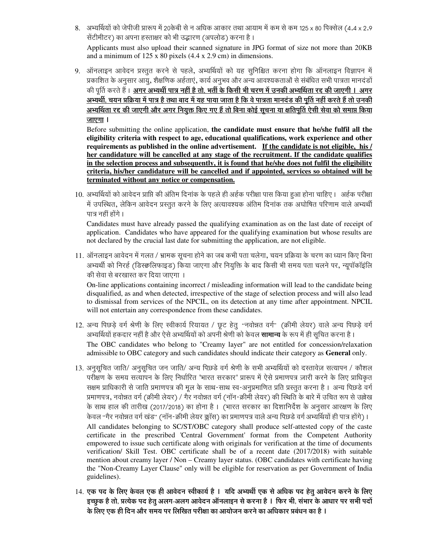- 8. अभ्यर्थियों को जेपीजी प्रारूप में 20केबी से न अधिक आकार तथा आयाम में कम से कम 125 x 80 पिक्सेल (4.4 x 2.9 सेंटीमीटर) का अपना हस्ताक्षर को भी उद्धारण (अपलोड) करना है। Applicants must also upload their scanned signature in JPG format of size not more than 20KB and a minimum of  $125 \times 80$  pixels  $(4.4 \times 2.9 \text{ cm})$  in dimensions.
- 9. ऑनलाइन आवेदन प्रस्तुत करने से पहले, अभ्यर्थियों को यह सुनिश्चित करना होगा कि ऑनलाइन विज्ञापन में प्रकाशित के अनुसार आयु, शैक्षणिक अर्हताएं, कार्य अनुभव और अन्य आवश्यकताओं से संबंधित सभी पात्रता मानदंडों की पूर्ति करते हैं । <u>अगर अभ्यर्थी पात्र नहीं है तो, भर्ती के किसी भी चरण में उनकी अभ्यर्थिता रद्द की जाएगी । अगर</u> <u>अभ्यर्थी, चयन प्रक्रिया में पात्र है तथा बाद में यह पाया जाता है कि वे पात्रता मानदंड की पूर्ति नहीं करते हैं तो उनकी </u> <u>अभ्यर्थिता रद्द की जाएगी और अगर नियुक्त किए गए हैं तो बिना कोई सूचना या क्षतिपूर्ति ऐसी सेवा को समाप्त किया</u> जाएगा ।

Before submitting the online application, the candidate must ensure that he/she fulfil all the eligibility criteria with respect to age, educational qualifications, work experience and other requirements as published in the online advertisement. If the candidate is not eligible, his / her candidature will be cancelled at any stage of the recruitment. If the candidate qualifies in the selection process and subsequently, it is found that he/she does not fulfil the eligibility criteria, his/her candidature will be cancelled and if appointed, services so obtained will be terminated without any notice or compensation.

10. अभ्यर्थियों को आवेदन प्राप्ति की अंतिम दिनांक के पहले ही अर्हक परीक्षा पास किया हुआ होना चाहिए। अर्हक परीक्षा में उपस्थित, लेकिन आवेदन प्रस्तुत करने के लिए अत्यावश्यक अंतिम दिनांक तक अघोषित परिणाम वाले अभ्यर्थी पात्र नहीं होंगे ।

Candidates must have already passed the qualifying examination as on the last date of receipt of application. Candidates who have appeared for the qualifying examination but whose results are not declared by the crucial last date for submitting the application, are not eligible.

11. ऑनलाइन आवेदन में गलत / भ्रामक सूचना होने का जब कभी पता चलेगा, चयन प्रक्रिया के चरण का ध्यान किए बिना अभ्यर्थी को निरर्ह (डिस्कलिफाइड) किया जाएगा और नियुक्ति के बाद किसी भी समय पता चलने पर, न्यूपॉकॉइंलि की सेवा से बरखास्त कर दिया जाएगा ।

On-line applications containing incorrect / misleading information will lead to the candidate being disqualified, as and when detected, irrespective of the stage of selection process and will also lead to dismissal from services of the NPCIL, on its detection at any time after appointment. NPCIL will not entertain any correspondence from these candidates.

- 12. अन्य पिछड़े वर्ग श्रेणी के लिए स्वीकार्य रियायत / छूट हेतु "नवोन्नत वर्ग" (क्रीमी लेयर) वाले अन्य पिछड़े वर्ग अभ्यर्थियों हकदार नहीं है और ऐसे अभ्यर्थियों को अपनी श्रेणी को केवल **सामान्य** के रूप में ही सूचित करना है । The OBC candidates who belong to "Creamy layer" are not entitled for concession/relaxation admissible to OBC category and such candidates should indicate their category as General only.
- 13. अनुसूचित जाति/ अनुसूचित जन जाति/ अन्य पिछड़े वर्ग श्रेणी के सभी अभ्यर्थियों को दस्तावेज़ सत्यापन / कौशल परीक्षण के समय सत्यापन के लिए निर्धारित 'भारत सरकार' प्रारूप में ऐसे प्रमाणपत्र ज़ारी करने के लिए प्राधिकृत सक्षम प्राधिकारी से जाति प्रमाणपत्र की मूल के साथ-साथ स्व-अनुप्रमाणित प्रति प्रस्तुत करना है। अन्य पिछड़े वर्ग प्रमाणपत्र, नवोन्नत वर्ग (क्रीमी लेयर) / गैर नवोन्नत वर्ग (नॉन-क्रीमी लेयर) की स्थिति के बारे में उचित रूप से उल्लेख के साथ हाल की तारीख (2017/2018) का होना है। (भारत सरकार का दिशानिर्देश के अनुसार आरक्षण के लिए केवल ''गैर नवोन्नत वर्ग खंड'' (नॉन-क्रीमी लेयर क्लॉस) का प्रमाणपत्र वाले अन्य पिछडे वर्ग अभ्यर्थियों ही पात्र होंगे) । All candidates belonging to SC/ST/OBC category shall produce self-attested copy of the caste certificate in the prescribed 'Central Government' format from the Competent Authority empowered to issue such certificate along with originals for verification at the time of documents verification/ Skill Test. OBC certificate shall be of a recent date (2017/2018) with suitable mention about creamy layer / Non – Creamy layer status. (OBC candidates with certificate having the "Non-Creamy Layer Clause" only will be eligible for reservation as per Government of India guidelines).
- 14. एक पद के लिए केवल एक ही आवेदन स्वीकार्य है । यदि अभ्यर्थी एक से अधिक पद हेतु आवेदन करने के लिए इच्छूक है तो, प्रत्येक पद हेतू अलग-अलग आवेदन ऑनलाइन से करना है । फिर भी, संभार के आधार पर सभी पदों के लिए एक ही दिन और समय पर लिखित परीक्षा का आयोजन करने का अधिकार प्रबंधन का है ।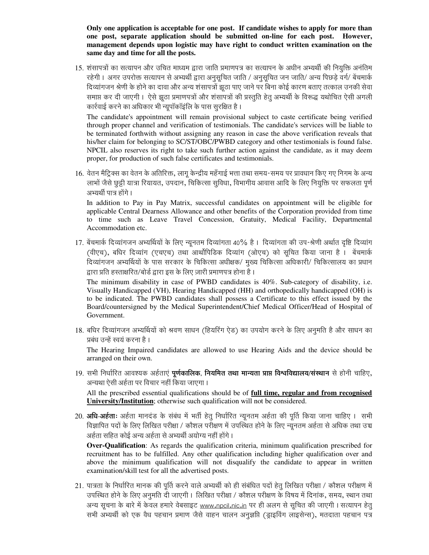**Only one application is acceptable for one post. If candidate wishes to apply for more than one post, separate application should be submitted on-line for each post. However, management depends upon logistic may have right to conduct written examination on the same day and time for all the posts.** 

15. शंसापत्रों का सत्यापन और उचित माध्यम द्वारा जाति प्रमाणपत्र का सत्यापन के अधीन अभ्यर्थी की नियुक्ति अनंतिम रहेगी। अगर उपरोक्त सत्यापन से अभ्यर्थी द्वारा अनुसूचित जाति / अनुसूचित जन जाति/ अन्य पिछड़े वर्ग/ बेंचमार्क दिव्यांगजन श्रेणी के होने का दावा और अन्य शंसापत्रों झूठा पाए जाने पर बिना कोई कारण बताए तत्काल उनकी सेवा समाप्त कर दी जाएगी। ऐसे झूठा प्रमाणपत्रों और शंसापत्रों की प्रस्तुति हेतू अभ्यर्थी के विरूद्ध यथोचित ऐसी अगली कार्रवाई करने का अधिकार भी न्यूपॉकॉइंलि के पास सुरक्षित है।

The candidate's appointment will remain provisional subject to caste certificate being verified through proper channel and verification of testimonials. The candidate's services will be liable to be terminated forthwith without assigning any reason in case the above verification reveals that his/her claim for belonging to SC/ST/OBC/PWBD category and other testimonials is found false. NPCIL also reserves its right to take such further action against the candidate, as it may deem proper, for production of such false certificates and testimonials.

16. वेतन मैट्रिक्स का वेतन के अतिरिक्त, लागू केन्द्रीय महँगाई भत्ता तथा समय-समय पर प्रावधान किए गए निगम के अन्य लाभों जैसे छुट्टी यात्रा रियायत, उपदान, चिकित्सा सुविधा, विभागीय आवास आदि के लिए नियुक्ति पर सफलता पुर्ण अभ्यर्थी पात्र होंगे।

In addition to Pay in Pay Matrix, successful candidates on appointment will be eligible for applicable Central Dearness Allowance and other benefits of the Corporation provided from time to time such as Leave Travel Concession, Gratuity, Medical Facility, Departmental Accommodation etc.

17. बेंचमार्क दिव्यांगजन अभ्यर्थियों के लिए न्यूनतम दिव्यांगता 40% है। दिव्यांगता की उप-श्रेणी अर्थात दृष्टि दिव्यांग (वीएच), बधिर दिव्यांग (एचएच) तथा आर्थोपिडिक दिव्यांग (ओएच) को सूचित किया जाना है। बेंचमार्क दिव्यांगजन अभ्यर्थियों के पास सरकार के चिकित्सा अधीक्षक/ मुख्य चिकित्सा अधिकारी/ चिकित्सालय का प्रधान द्वारा प्रति हस्ताक्षरित/बोर्ड द्वारा इस के लिए ज़ारी प्रमाणपत्र होना है।

The minimum disability in case of PWBD candidates is 40%. Sub-category of disability, i.e. Visually Handicapped (VH), Hearing Handicapped (HH) and orthopedically handicapped (OH) is to be indicated. The PWBD candidates shall possess a Certificate to this effect issued by the Board/countersigned by the Medical Superintendent/Chief Medical Officer/Head of Hospital of Government.

18. बधिर दिव्यांगजन अभ्यर्थियों को श्रवण साधन (हियरिंग ऐड) का उपयोग करने के लिए अनुमति है और साधन का प्रबंध उन्हें स्वयं करना है।

The Hearing Impaired candidates are allowed to use Hearing Aids and the device should be arranged on their own.

19. सभी निर्धारित आवश्यक अहेताएं **पूर्णकालिक, नियमित तथा मान्यता प्राप्त विश्वविद्यालय/संस्थान** से होनी चाहिए, अन्यथा ऐसी अर्हता पर विचार नहीं किया जाएगा ।

All the prescribed essential qualifications should be of **full time, regular and from recognised University/Institution**; otherwise such qualification will not be considered.

20. अधि-अर्हताः अर्हता मानदंड के संबंध में भर्ती हेतु निर्धारित न्यूनतम अर्हता की पूर्ति किया जाना चाहिए । सभी विज्ञापित पदों के लिए लिखित परीक्षा / कौशल परीक्षण में उपस्थित होने के लिए न्यूनतम अर्हता से अधिक तथा उच्च अर्हता सहित कोई अन्य अर्हता से अभ्यर्थी अयोग्य नहीं होंगे।

**Over-Qualification**: As regards the qualification criteria, minimum qualification prescribed for recruitment has to be fulfilled. Any other qualification including higher qualification over and above the minimum qualification will not disqualify the candidate to appear in written examination/skill test for all the advertised posts.

21. पात्रता के निर्धारित मानक की पूर्ति करने वाले अभ्यर्थी को ही संबंधित पदों हेतु लिखित परीक्षा / कौशल परीक्षण में उपस्थित होने के लिए अनुमति दी जाएगी। लिखित परीक्षा / कौशल परीक्षण के विषय में दिनांक, समय, स्थान तथा अन्य सूचना के बारे में केवल हमारे वेबसाइट www.npcil.nic.in पर ही अलग से सूचित की जाएगी । सत्यापन हेतु सभी अभ्यर्थी को एक वैध पहचान प्रमाण जैसे वाहन चालन अनुज्ञप्ति (ड्राइविंग लाइसेन्स), मतदाता पहचान पत्र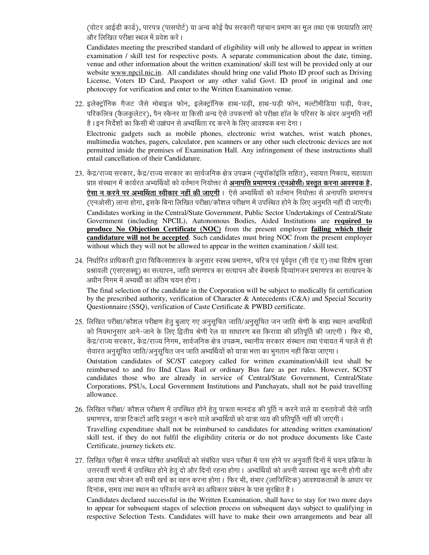(वोटर आईडी कार्ड), पारपत्र (पासपोर्ट) या अन्य कोई वैध सरकारी पहचान प्रमाण का मूल तथा एक छायाप्रति लाएं ओर लिखित परीक्षा स्थल में प्रवेश करें।

Candidates meeting the prescribed standard of eligibility will only be allowed to appear in written examination / skill test for respective posts. A separate communication about the date, timing, venue and other information about the written examination/ skill test will be provided only at our website www.npcil.nic.in. All candidates should bring one valid Photo ID proof such as Driving License, Voters ID Card, Passport or any other valid Govt. ID proof in original and one photocopy for verification and enter to the Written Examination venue.

22. इलेक्ट्रॉनिक गैजट जैसे मोबाइल फोन, इलेक्ट्रॉनिक हाथ-घड़ी, हाथ-घड़ी फोन, मल्टीमीडिया घड़ी, पेजर, परिकलित्र (कैलकुलेटर), पैन स्कैनर या किसी अन्य ऐसे उपकरणों को परीक्षा हॉल के परिसर के अंदर अनुमति नहीं है । इन निर्देशों का किसी भी उल्लंघन से अभ्यर्थिता रद्द करने के लिए आवश्यक बना देगा । Electronic gadgets such as mobile phones, electronic wrist watches, wrist watch phones,

multimedia watches, pagers, calculator, pen scanners or any other such electronic devices are not permitted inside the premises of Examination Hall. Any infringement of these instructions shall entail cancellation of their Candidature.

- 23. केंद्र/राज्य सरकार, केंद्र/राज्य सरकार का सार्वजनिक क्षेत्र उपक्रम (न्यूपॉकॉइंलि सहित), स्वायत्त निकाय, सहायता प्राप्त संस्थान में कार्यरत अभ्यर्थियों को वर्तमान निर्याक्ता से <u>अनापत्ति प्रमाणपत्र (एनओसी) प्रस्तुत करना आवश्यक है,</u> <mark>ऐसा न करने पर अभ्यर्थिता स्वीकार नहीं की जाएगी</mark> । ऐसे अभ्यर्थियों को वर्तमान निर्याक्ता से अनापत्ति प्रमाणपत्र (एनओसी) लाना होगा, इसके बिना लिखित परीक्षा/कौशल परीक्षण में उपस्थित होने के लिए अनुमति नहीं दी जाएगी। Candidates working in the Central/State Government, Public Sector Undertakings of Central/State Government (including NPCIL), Autonomous Bodies, Aided Institutions are **required to produce No Objection Certificate (NOC)** from the present employer **failing which their candidature will not be accepted**. Such candidates must bring NOC from the present employer without which they will not be allowed to appear in the written examination / skill test.
- 24. निर्धारित प्राधिकारी द्वारा चिकित्साशास्त्र के अनुसार स्वस्थ प्रमाणन, चरित्र एवं पूर्ववृत्त (सी एंड ए) तथा विशेष सुरक्षा प्रश्नावली (एसएसक्यू) का सत्यापन, जाति प्रमाणपत्र का सत्यापन और बेंचमार्क दिव्यांगजन प्रमाणपत्र का सत्यापन के अधीन निगम में अभ्यर्थी का अंतिम चयन होगा ।

The final selection of the candidate in the Corporation will be subject to medically fit certification by the prescribed authority, verification of Character & Antecedents (C&A) and Special Security Questionnaire (SSQ), verification of Caste Certificate & PWBD certificate.

- 25. लिखित परीक्षा/कौशल परीक्षण हेतु बुलाए गए अनुसूचित जाति/अनुसूचित जन जाति श्रेणी के बाह्य स्थान अभ्यर्थियों को नियमानसार आने-जाने के लिए द्वितीय श्रेणी रेल या साधारण बस किराया की प्रतिपूर्ति की जाएगी। फिर भी, केंद्र/राज्य सरकार, केंद्र/राज्य निगम, सार्वजनिक क्षेत्र उपक्रम, स्थानीय सरकार संस्थान तथा पंचायत में पहले से ही सेवारत अनुसूचित जाति/अनुसूचित जन जाति अभ्यर्थियों को यात्रा भत्ता का भूगतान नहीं किया जाएगा । Outstation candidates of SC/ST category called for written examination/skill test shall be reimbursed to and fro IInd Class Rail or ordinary Bus fare as per rules. However, SC/ST candidates those who are already in service of Central/State Government, Central/State Corporations, PSUs, Local Government Institutions and Panchayats, shall not be paid travelling allowance.
- 26. लिखित परीक्षा/ कौशल परीक्षण में उपस्थित होने हेतु पात्रता मानदंड की पूर्ति न करने वाले या दस्तावेजों जैसे जाति प्रमाणपत्र, यात्रा टिकटों आदि प्रस्तुत न करने वाले अभ्यर्थियों को यात्रा व्यय की प्रतिपूर्ति नहीं की जाएगी। Travelling expenditure shall not be reimbursed to candidates for attending written examination/ skill test, if they do not fulfil the eligibility criteria or do not produce documents like Caste Certificate, journey tickets etc.
- 27. लिखित परीक्षा में सफल घोषित अभ्यर्थियों को संबंधित चयन परीक्षा में पास होने पर अनुवर्ती दिनों में चयन प्रक्रिया के उत्तरवर्ती चरणों में उपस्थित होने हेतु दो और दिनों रहना होगा । अभ्यर्थियों को अपनी व्यवस्था खुद करनी होगी और आवास तथा भोजन की सभी खर्च का वहन करना होगा । फिर भी, संभार (लाजिस्टिक) आवश्यकताओं के आधार पर दिनांक, समय तथा स्थान का परिवर्तन करने का अधिकार प्रबंधन के पास सुरक्षित है ।

Candidates declared successful in the Written Examination, shall have to stay for two more days to appear for subsequent stages of selection process on subsequent days subject to qualifying in respective Selection Tests. Candidates will have to make their own arrangements and bear all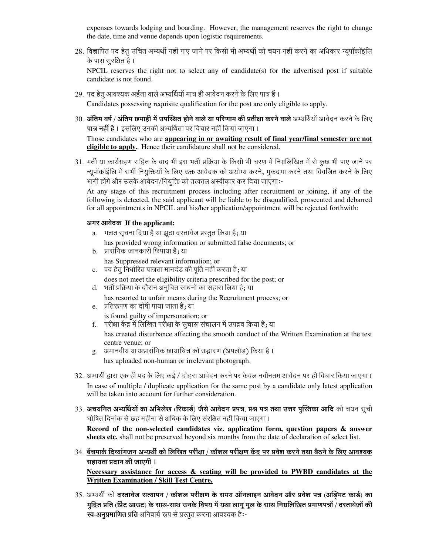expenses towards lodging and boarding. However, the management reserves the right to change the date, time and venue depends upon logistic requirements.

28. विज्ञापित पद हेतु उचित अभ्यर्थी नहीं पाए जाने पर किसी भी अभ्यर्थी को चयन नहीं करने का अधिकार न्यूपॉकॉइंलि के पास सूरक्षित है ।

NPCIL reserves the right not to select any of candidate(s) for the advertised post if suitable candidate is not found.

29. पद हेतू आवश्यक अर्हता वाले अभ्यर्थियों मात्र ही आवेदन करने के लिए पात्र हैं ।

Candidates possessing requisite qualification for the post are only eligible to apply.

- 30. **अंतिम वर्ष / अंतिम छमाही मे उपस्थित होने वाले या परिणाम की प्रतीक्षा करने वाले** अभ्यर्थियो आवेदन करने के लिए पात्र नहीं है। इसलिए उनकी अभ्यर्थिता पर विचार नहीं किया जाएगा। Those candidates who are **appearing in or awaiting result of final year/final semester are not eligible to apply.** Hence their candidature shall not be considered.
- 31. भर्ती या कार्यग्रहण सहित के बाद भी इस भर्ती प्रक्रिया के किसी भी चरण में निम्नलिखित में से कुछ भी पाए जाने पर न्यूपॉकॉइंलि में सभी नियुक्तियों के लिए उक्त आवेदक को अयोग्य करने, मुकदमा करने तथा विवर्जित करने के लिए भागी होंगे और उसके आवेदन/नियुक्ति को तत्काल अस्वीकार कर दिया जाएगा:-

At any stage of this recruitment process including after recruitment or joining, if any of the following is detected, the said applicant will be liable to be disqualified, prosecuted and debarred for all appointments in NPCIL and his/her application/appointment will be rejected forthwith:

#### अगर आवेदक If the applicant:

- a. गलत सूचना दिया है या झूठा दस्तावेज़ प्रस्तुत किया है; या
- has provided wrong information or submitted false documents; or
- b. प्रासंगिक जानकारी छिपाया है; या has Suppressed relevant information; or
- c. पद हेतु निर्धारित पात्रता मानदंड की पूर्ति नहीं करता है; या does not meet the eligibility criteria prescribed for the post; or
- d. भर्ती प्रक्रिया के दौरान अनुचित साधनों का सहारा लिया है; या
- has resorted to unfair means during the Recruitment process; or
- e. प्रतिरूपण का दोषी पाया जाता है; या
	- is found guilty of impersonation; or
- f. परीक्षा केंद्र में लिखित परीक्षा के सूचारू संचालन में उपद्रव किया है; या

has created disturbance affecting the smooth conduct of the Written Examination at the test centre venue; or

g. अमानवीय या अप्रासंगिक छायाचित्र को उद्भारण (अपलोड) किया है ।

has uploaded non-human or irrelevant photograph.

- 32. अभ्यर्थी द्वारा एक ही पद के लिए कई / दोहरा आवेदन करने पर केवल नवीनतम आवेदन पर ही विचार किया जाएगा । In case of multiple / duplicate application for the same post by a candidate only latest application will be taken into account for further consideration.
- 33. **अचर्यानेत अभ्यथियो का अभिलेख** (**रिकार्ड) जैसे आवेदन प्रपत्र, प्रश्न पत्र तथा उत्तर पुस्तिका आदि** को चयन सूची घोषित दिनांक से छह महीना से अधिक के लिए संरक्षित नहीं किया जाएगा।

**Record of the non-selected candidates viz. application form, question papers & answer sheets etc.** shall not be preserved beyond six months from the date of declaration of select list.

34. <u>बेचमार्क दिव्यांगजन अभ्यथी को लिखित परीक्षा / कौशल परीक्षण केंद्र पर प्रवेश करने तथा बैठने के लिए आवश्यक</u> <u>सहायता प्रदान की जाएगी</u> ।

**Necessary assistance for access & seating will be provided to PWBD candidates at the Written Examination / Skill Test Centre.**

35. अभ्यर्थी को दस्तावेज़ सत्यापन / कौशल परीक्षण के समय ऑनलाइन आवेदन और प्रवेश पत्र (अड़िंमट कार्ड) का मुद्रित प्रति (प्रिंट आउट) के साथ-साथ उनके विषय में यथा लागू मूल के साथ निम्नलिखित प्रमाणपत्रो / दस्तावेज़ो की **स्व-अनुप्रमाणित प्रति** अनिवार्य रूप से प्रस्तुत करना आवश्यक हैं:-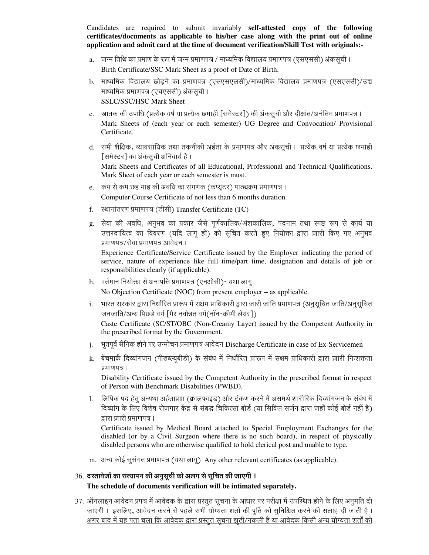Candidates are required to submit invariably **self-attested copy of the following certificates/documents as applicable to his/her case along with the print out of online application and admit card at the time of document verification/Skill Test with originals:-** 

- a. जन्म तिथि का प्रमाण के रूप मे जन्म प्रमाणपत्र / माध्यमिक विद्यालय प्रमाणपत्र (एसएससी) अंकसूची । Birth Certificate/SSC Mark Sheet as a proof of Date of Birth.
- b. माध्यमिक विद्यालय छोड़ने का प्रमाणपत्र (एसएसएलसी)/माध्यमिक विद्यालय प्रमाणपत्र (एसएससी)/उच्च माध्यमिक प्रमाणपत्र (एचएससी) अंकसूची । SSLC/SSC/HSC Mark Sheet
- c. स्नातक की उपाधि (प्रत्येक वर्ष या प्रत्येक छमाही [समेस्टर]) की अंकसूची और दीक्षांत/अनंतिम प्रमाणपत्र । Mark Sheets of (each year or each semester) UG Degree and Convocation/ Provisional Certificate.
- d. सभी शैक्षिक, व्यावसायिक तथा तकनीकी अर्हता के प्रमाणपत्र और अंकसूची । प्रत्येक वर्ष या प्रत्येक छमाही [समेस्टर] का अंकसूची अनिवार्य है। Mark Sheets and Certificates of all Educational, Professional and Technical Qualifications. Mark Sheet of each year or each semester is must.
- e. कम से कम छह माह की अवधि का संगणक (कंप्यूटर) पाठ्यक्रम प्रमाणपत्र ।

Computer Course Certificate of not less than 6 months duration.

- f. स्थानांतरण प्रमाणपत्र (टीसी) Transfer Certificate (TC)
- g. सेवा की अवधि, अनुभव का प्रकार जैसे पूर्णकालिक/अंशकालिक, पदनाम तथा स्पष्ट रूप से कार्य या उत्तरदायित्व का विवरण (यदि लाग हो) को सुचित करते हुए नियोक्ता द्वारा ज़ारी किए गए अनुभव प्रमाणपत्र/सेवा प्रमाणपत्र आवेदन ।

Experience Certificate/Service Certificate issued by the Employer indicating the period of service, nature of experience like full time/part time, designation and details of job or responsibilities clearly (if applicable).

h. वर्तमान नियोक्ता से अनापत्ति प्रमाणपत्र (एनओसी)- यथा लागू

No Objection Certificate (NOC) from present employer – as applicable.

- i. भारत सरकार द्वारा निर्धारित प्रारूप में सक्षम प्राधिकारी द्वारा ज़ारी जाति प्रमाणपत्र (अनुसुचित जाति/अनुसुचित जनजाति/अन्य पिछड़े वर्ग [गैर नवोन्नत वर्ग(नॉन-क्रीमी लेयर]) Caste Certificate (SC/ST/OBC (Non-Creamy Layer) issued by the Competent Authority in the prescribed format by the Government.
- j. भूतपूर्व सैनिक होने पर उन्मोचन प्रमाणपत्र आवेदन Discharge Certificate in case of Ex-Servicemen
- k. बेंचमार्क दिव्यांगजन (पीडब्ल्यूबीडी) के संबंध में निर्धारित प्रारूप में सक्षम प्राधिकारी द्वारा ज़ारी निःशक्तता प्रमाणपत्र ।

Disability Certificate issued by the Competent Authority in the prescribed format in respect of Person with Benchmark Disabilities (PWBD).

l. तिपिक पद हेतु अन्यथा अर्हताप्राप्त (क्वालफाइड) और टंकण करने में असमर्थ शारीरिक दिव्यांगजन के संबंध में दिव्यांग के लिए विशेष रोजगार केंद्र से संबद्ध चिकित्सा बोर्ड (या सिविल सर्जन द्वारा जहाँ कोई बोर्ड नहीं है) द्रारा ज़ारी प्रमाणपत्र ।

Certificate issued by Medical Board attached to Special Employment Exchanges for the disabled (or by a Civil Surgeon where there is no such board), in respect of physically disabled persons who are otherwise qualified to hold clerical post and unable to type.

m. अन्य कोई सूसंगत प्रमाणपत्र (यथा लागू) Any other relevant certificates (as applicable).

# 36. दस्तावेज़ों का सत्यापन की अनुसूची को अलग से सूचित की जाएगी **।**

## **The schedule of documents verification will be intimated separately.**

37. ऑनलाइन आवेदन प्रपत्र में आवेदक के द्वारा प्रस्तुत सूचना के आधार पर परीक्षा में उपस्थित होने के लिए अनुमति दी जाएगी । <u>इसलिए, आवेदन करने से पहले सभी योग्यता शर्तों की पुर्ति को सुनिश्चित करने की सलाह दी जाती है</u> । <u>अगर बाद में यह पता चला कि आवेदक द्वारा प्रस्तुत सूचना झुठी/नकली है या आवेदक किसी अन्य योग्यता शर्तों की</u>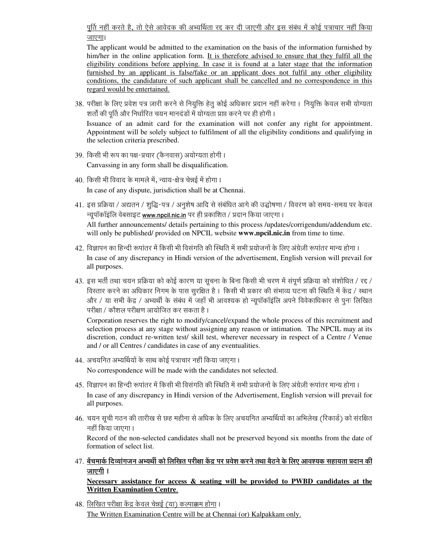पूर्ति नहीं करते है, तो ऐसे आवेदक की अभ्यर्थिता रद्द कर दी जाएगी और इस संबंध में कोई पत्राचार नहीं किया जाएगा।

The applicant would be admitted to the examination on the basis of the information furnished by him/her in the online application form. It is therefore advised to ensure that they fulfil all the eligibility conditions before applying. In case it is found at a later stage that the information furnished by an applicant is false/fake or an applicant does not fulfil any other eligibility conditions, the candidature of such applicant shall be cancelled and no correspondence in this regard would be entertained.

38. परीक्षा के लिए प्रवेश पत्र ज़ारी करने से नियुक्ति हेतु कोई अधिकार प्रदान नहीं करेगा। नियुक्ति केवल सभी योग्यता शर्तों की पर्ति और निर्धारित चयन मानदंडों में योग्यता प्राप्त करने पर ही होगी ।

Issuance of an admit card for the examination will not confer any right for appointment. Appointment will be solely subject to fulfilment of all the eligibility conditions and qualifying in the selection criteria prescribed.

- 39. किसी भी रूप का पक्ष-प्रचार (कैनवास) अयोग्यता होगी। Canvassing in any form shall be disqualification.
- 40. किसी भी विवाद के मामले में, न्याय-क्षेत्र चेन्नई में होगा । In case of any dispute, jurisdiction shall be at Chennai.
- 41. इस प्रक्रिया / अद्यतन / शुद्धि-पत्र / अनुशेष आदि से संबंधित आगे की उद्घोषणा / विवरण को समय-समय पर केवल न्यूपॉकॉइंलि वेबसाइट <u>www.npcil.nic.in</u> पर ही प्रकाशित / प्रदान किया जाएगा । All further announcements/ details pertaining to this process /updates/corrigendum/addendum etc. will only be published/ provided on NPCIL website **www.npcil.nic.in** from time to time.
- 42. विज्ञापन का हिन्दी रूपांतर में किसी भी विसंगति की स्थिति में सभी प्रयोजनों के लिए अंग्रेज़ी रूपांतर मान्य होगा । In case of any discrepancy in Hindi version of the advertisement, English version will prevail for all purposes.
- 43. इस भर्ती तथा चयन प्रक्रिया को कोई कारण या सूचना के बिना किसी भी चरण में संपूर्ण प्रक्रिया को संशोधित / रद / विस्तार करने का अधिकार निगम के पास सुरक्षित है । किसी भी प्रकार की संभाव्य घटना की स्थिति में केंद्र / स्थान और / या सभी केंद्र / अभ्यर्थी के संबंध में जहाँ भी आवश्यक हो न्यूपॉकॉइंलि अपने विवेकाधिकार से पुनः लिखित परीक्षा / कौशल परीक्षण आयोजित कर सकता है।

Corporation reserves the right to modify/cancel/expand the whole process of this recruitment and selection process at any stage without assigning any reason or intimation. The NPCIL may at its discretion, conduct re-written test/ skill test, wherever necessary in respect of a Centre / Venue and / or all Centres / candidates in case of any eventualities.

44. अचयनित अभ्यर्थियों के साथ कोई पत्राचार नहीं किया जाएगा।

No correspondence will be made with the candidates not selected.

- 45. विज्ञापन का हिन्दी रूपांतर में किसी भी विसंगति की स्थिति में सभी प्रयोजनों के लिए अंग्रेज़ी रूपांतर मान्य होगा । In case of any discrepancy in Hindi version of the Advertisement, English version will prevail for all purposes.
- 46. चयन सूची गठन की तारीख से छह महीना से अधिक के लिए अचयनित अभ्यर्थियों का अभिलेख (रिकार्ड) को संरक्षित नहीं किया जाएगा ।

Record of the non-selected candidates shall not be preserved beyond six months from the date of formation of select list.

<u>47. बेचमार्क दिव्यांगजन अभ्यथी को लिखित परीक्षा केंद्र पर प्रवेश करने तथा बैठने के लिए आवश्यक सहायता प्रदान की</u> जाएगी ।

**Necessary assistance for access & seating will be provided to PWBD candidates at the Written Examination Centre**.

48. लिखित परीक्षा केंद्र केवल चेन्नई (या) कल्पाक्कम होगा। The Written Examination Centre will be at Chennai (or) Kalpakkam only.